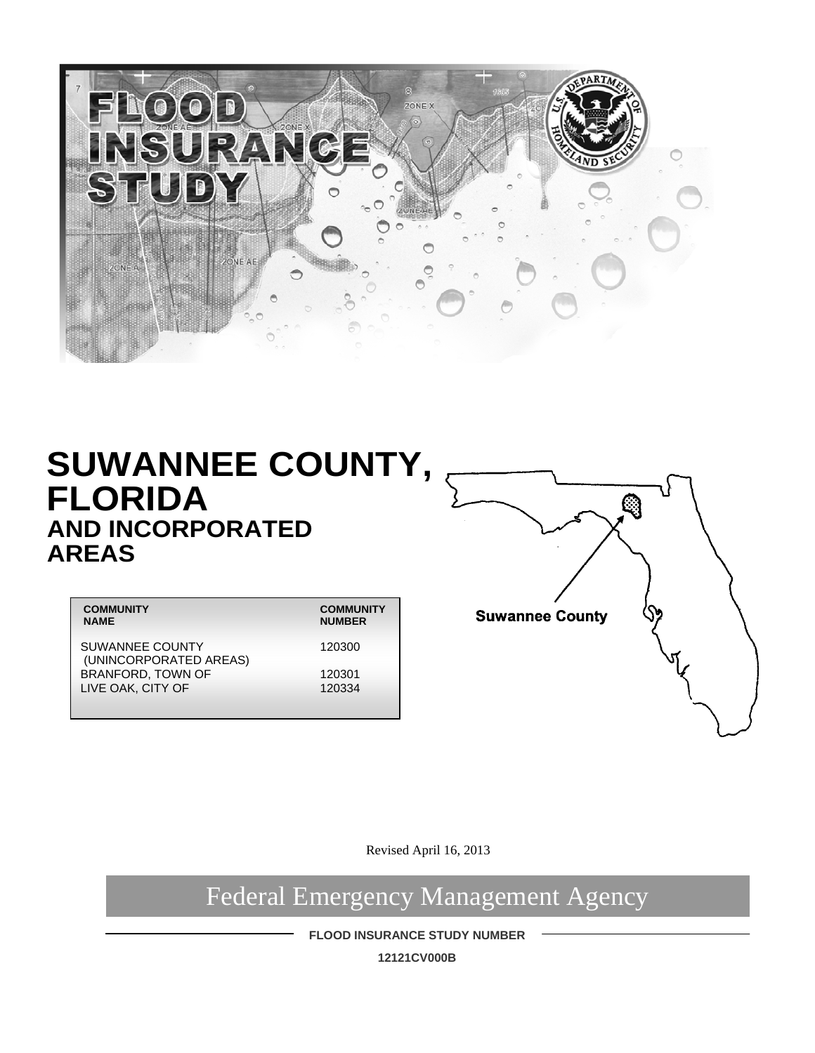

## **SUWANNEE COUNTY, FLORIDA AND INCORPORATED AREAS**

| <b>COMMUNITY</b>                          | <b>COMMUNITY</b> |
|-------------------------------------------|------------------|
| <b>NAME</b>                               | <b>NUMBER</b>    |
| SUWANNEE COUNTY<br>(UNINCORPORATED AREAS) | 120300           |
| BRANFORD, TOWN OF                         | 120301           |
| LIVE OAK, CITY OF                         | 120334           |
|                                           |                  |



Revised April 16, 2013

Federal Emergency Management Agency

**FLOOD INSURANCE STUDY NUMBER** 

**12121CV000B**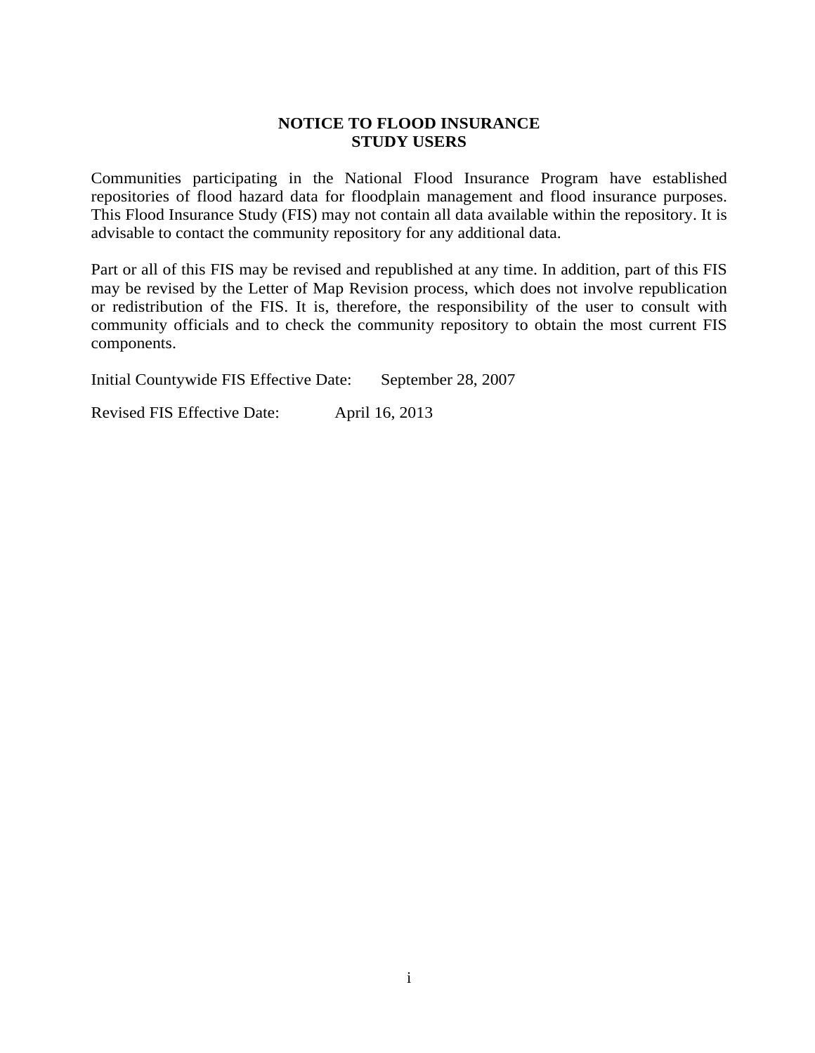#### **NOTICE TO FLOOD INSURANCE STUDY USERS**

Communities participating in the National Flood Insurance Program have established repositories of flood hazard data for floodplain management and flood insurance purposes. This Flood Insurance Study (FIS) may not contain all data available within the repository. It is advisable to contact the community repository for any additional data.

Part or all of this FIS may be revised and republished at any time. In addition, part of this FIS may be revised by the Letter of Map Revision process, which does not involve republication or redistribution of the FIS. It is, therefore, the responsibility of the user to consult with community officials and to check the community repository to obtain the most current FIS components.

Initial Countywide FIS Effective Date: September 28, 2007

Revised FIS Effective Date: April 16, 2013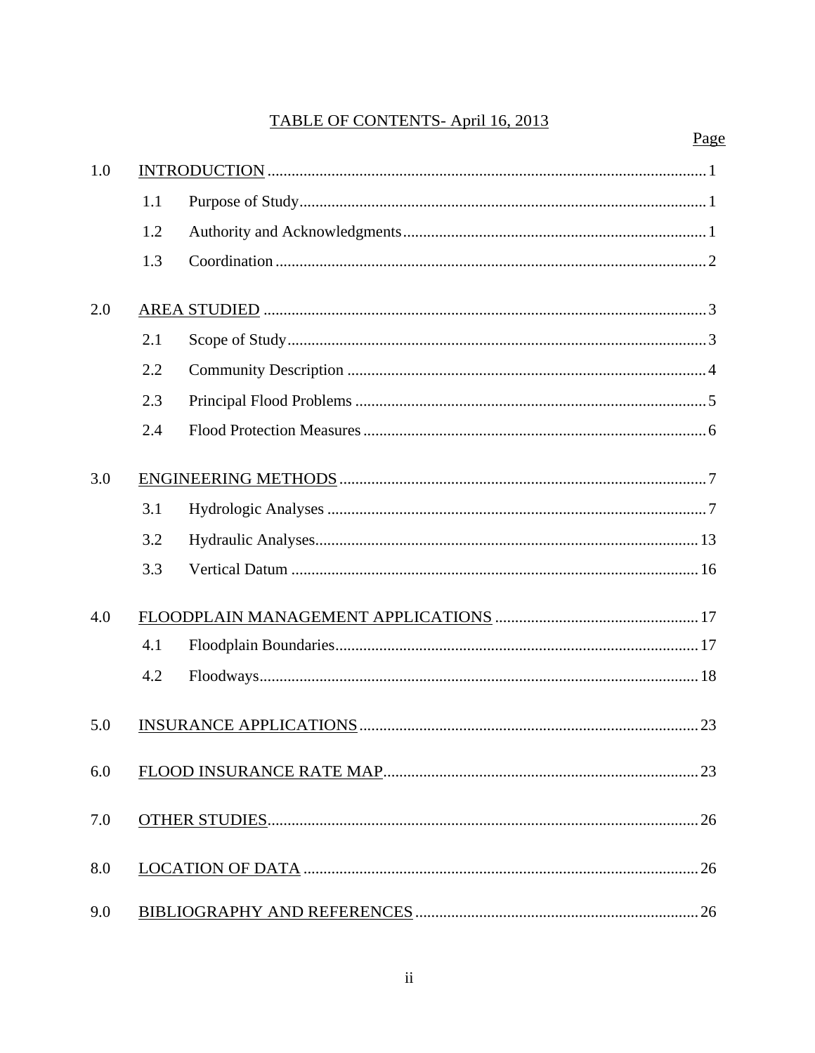## TABLE OF CONTENTS-April 16, 2013

|     |     | Page |
|-----|-----|------|
| 1.0 |     |      |
|     | 1.1 |      |
|     | 1.2 |      |
|     | 1.3 |      |
| 2.0 |     |      |
|     | 2.1 |      |
|     | 2.2 |      |
|     | 2.3 |      |
|     | 2.4 |      |
| 3.0 |     |      |
|     | 3.1 |      |
|     | 3.2 |      |
|     | 3.3 |      |
| 4.0 |     |      |
|     | 4.1 |      |
|     | 4.2 |      |
| 5.0 |     | 23   |
| 6.0 |     |      |
| 7.0 |     |      |
| 8.0 |     |      |
| 9.0 |     |      |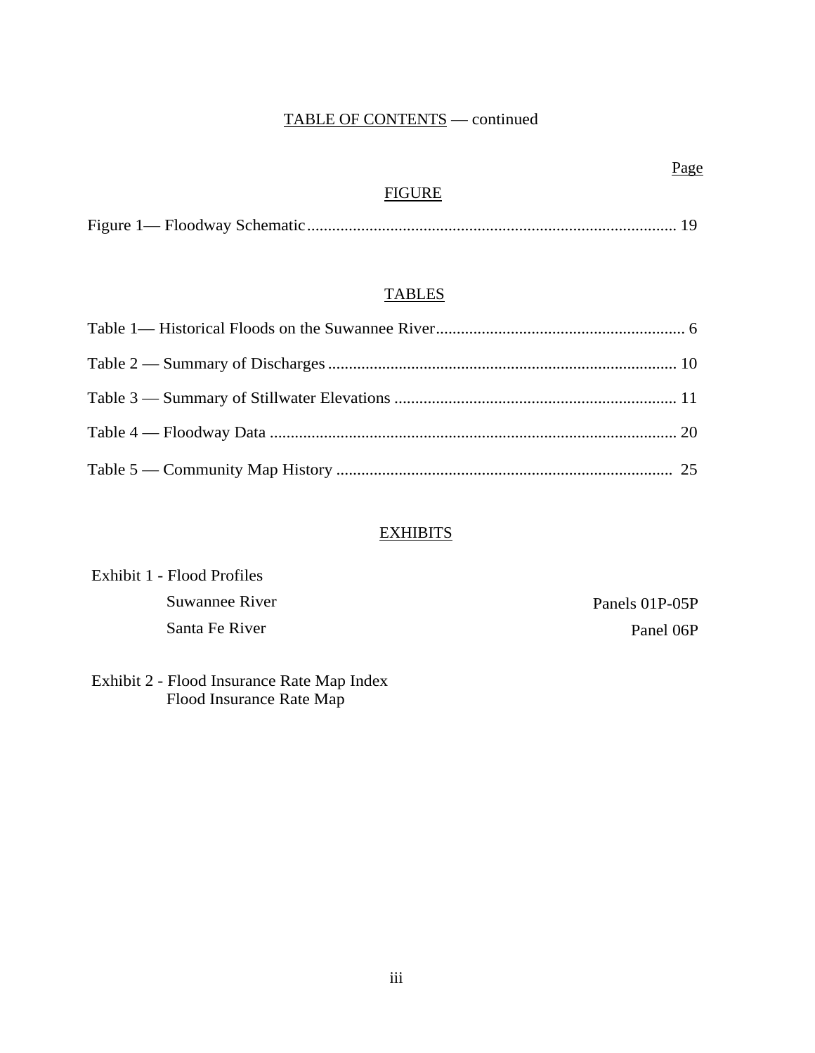### TABLE OF CONTENTS — continued

## **FIGURE**

### **TABLES**

### **EXHIBITS**

| Exhibit 1 - Flood Profiles |                |
|----------------------------|----------------|
| Suwannee River             | Panels 01P-05P |
| Santa Fe River             | Panel 06P      |

### Exhibit 2 - Flood Insurance Rate Map Index Flood Insurance Rate Map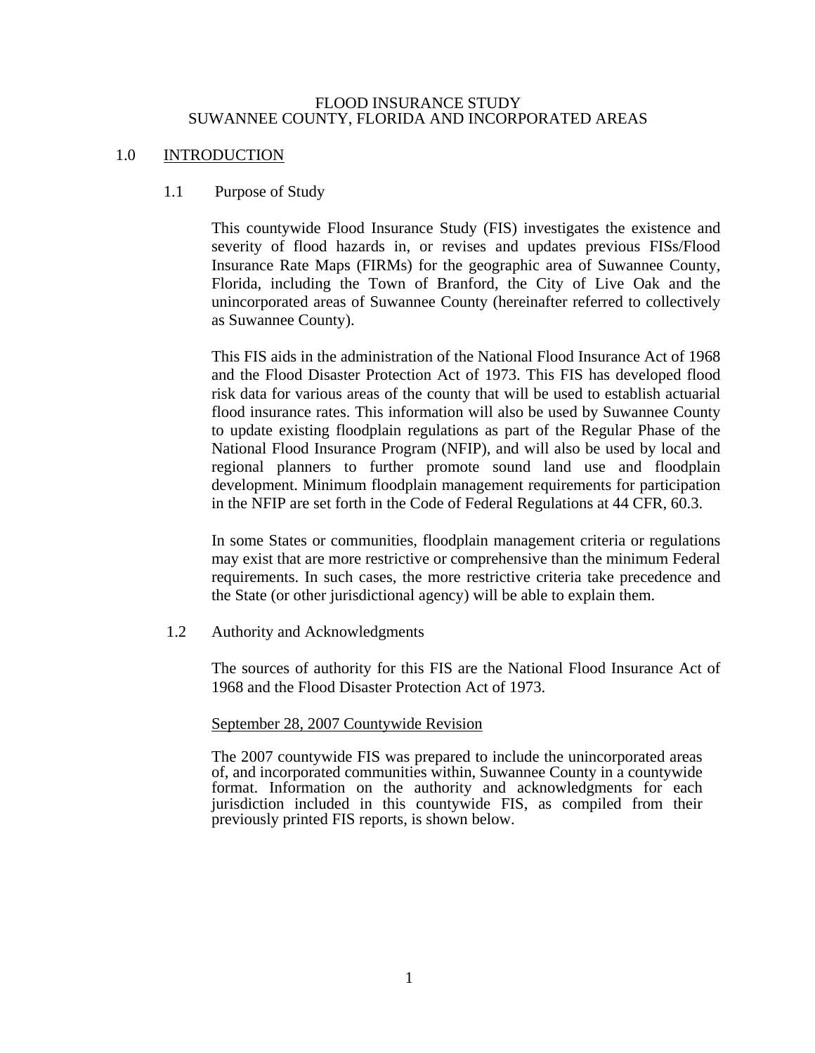#### FLOOD INSURANCE STUDY SUWANNEE COUNTY, FLORIDA AND INCORPORATED AREAS

#### 1.0 INTRODUCTION

#### 1.1 Purpose of Study

This countywide Flood Insurance Study (FIS) investigates the existence and severity of flood hazards in, or revises and updates previous FISs/Flood Insurance Rate Maps (FIRMs) for the geographic area of Suwannee County, Florida, including the Town of Branford, the City of Live Oak and the unincorporated areas of Suwannee County (hereinafter referred to collectively as Suwannee County).

This FIS aids in the administration of the National Flood Insurance Act of 1968 and the Flood Disaster Protection Act of 1973. This FIS has developed flood risk data for various areas of the county that will be used to establish actuarial flood insurance rates. This information will also be used by Suwannee County to update existing floodplain regulations as part of the Regular Phase of the National Flood Insurance Program (NFIP), and will also be used by local and regional planners to further promote sound land use and floodplain development. Minimum floodplain management requirements for participation in the NFIP are set forth in the Code of Federal Regulations at 44 CFR, 60.3.

In some States or communities, floodplain management criteria or regulations may exist that are more restrictive or comprehensive than the minimum Federal requirements. In such cases, the more restrictive criteria take precedence and the State (or other jurisdictional agency) will be able to explain them.

1.2 Authority and Acknowledgments

The sources of authority for this FIS are the National Flood Insurance Act of 1968 and the Flood Disaster Protection Act of 1973.

#### September 28, 2007 Countywide Revision

The 2007 countywide FIS was prepared to include the unincorporated areas of, and incorporated communities within, Suwannee County in a countywide format. Information on the authority and acknowledgments for each jurisdiction included in this countywide FIS, as compiled from their previously printed FIS reports, is shown below.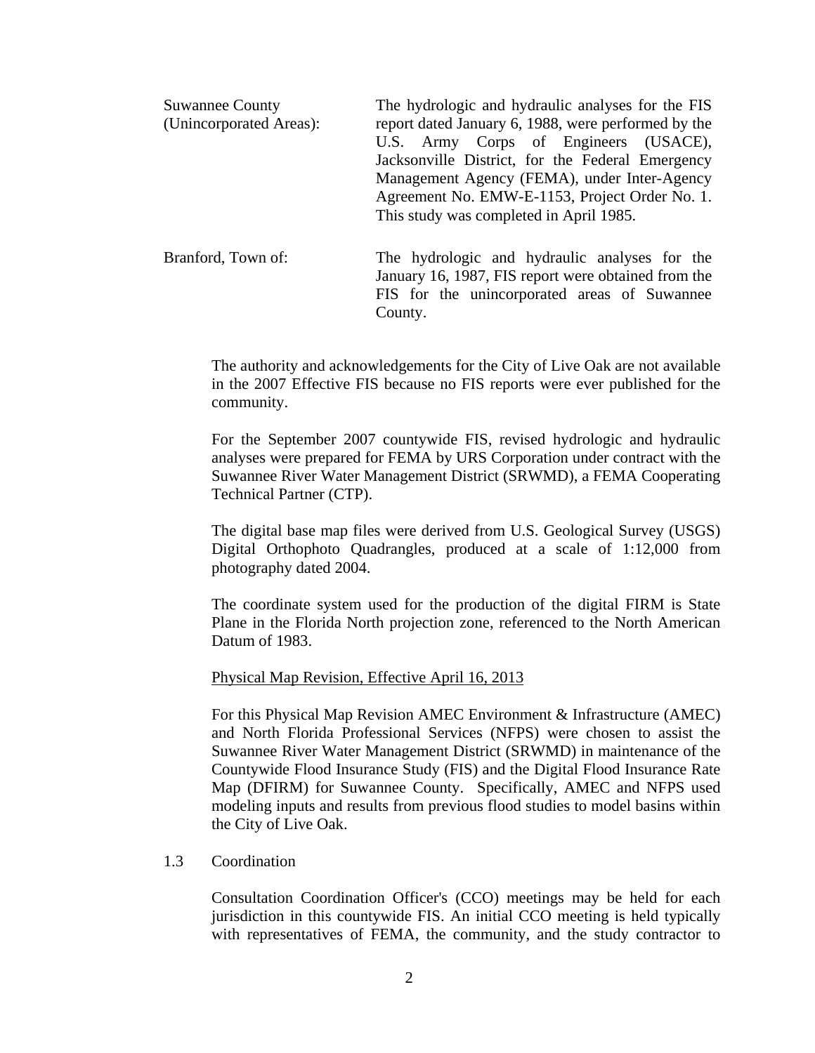| <b>Suwannee County</b>  | The hydrologic and hydraulic analyses for the FIS                                                    |
|-------------------------|------------------------------------------------------------------------------------------------------|
| (Unincorporated Areas): | report dated January 6, 1988, were performed by the                                                  |
|                         | U.S. Army Corps of Engineers (USACE),                                                                |
|                         | Jacksonville District, for the Federal Emergency                                                     |
|                         | Management Agency (FEMA), under Inter-Agency                                                         |
|                         | Agreement No. EMW-E-1153, Project Order No. 1.                                                       |
|                         | This study was completed in April 1985.                                                              |
| Branford, Town of:      | The hydrologic and hydraulic analyses for the<br>January 16, 1987, FIS report were obtained from the |
|                         | FIS for the unincorporated areas of Suwannee                                                         |
|                         | County.                                                                                              |

The authority and acknowledgements for the City of Live Oak are not available in the 2007 Effective FIS because no FIS reports were ever published for the community.

For the September 2007 countywide FIS, revised hydrologic and hydraulic analyses were prepared for FEMA by URS Corporation under contract with the Suwannee River Water Management District (SRWMD), a FEMA Cooperating Technical Partner (CTP).

The digital base map files were derived from U.S. Geological Survey (USGS) Digital Orthophoto Quadrangles, produced at a scale of 1:12,000 from photography dated 2004.

The coordinate system used for the production of the digital FIRM is State Plane in the Florida North projection zone, referenced to the North American Datum of 1983.

#### Physical Map Revision, Effective April 16, 2013

For this Physical Map Revision AMEC Environment & Infrastructure (AMEC) and North Florida Professional Services (NFPS) were chosen to assist the Suwannee River Water Management District (SRWMD) in maintenance of the Countywide Flood Insurance Study (FIS) and the Digital Flood Insurance Rate Map (DFIRM) for Suwannee County. Specifically, AMEC and NFPS used modeling inputs and results from previous flood studies to model basins within the City of Live Oak.

#### 1.3 Coordination

Consultation Coordination Officer's (CCO) meetings may be held for each jurisdiction in this countywide FIS. An initial CCO meeting is held typically with representatives of FEMA, the community, and the study contractor to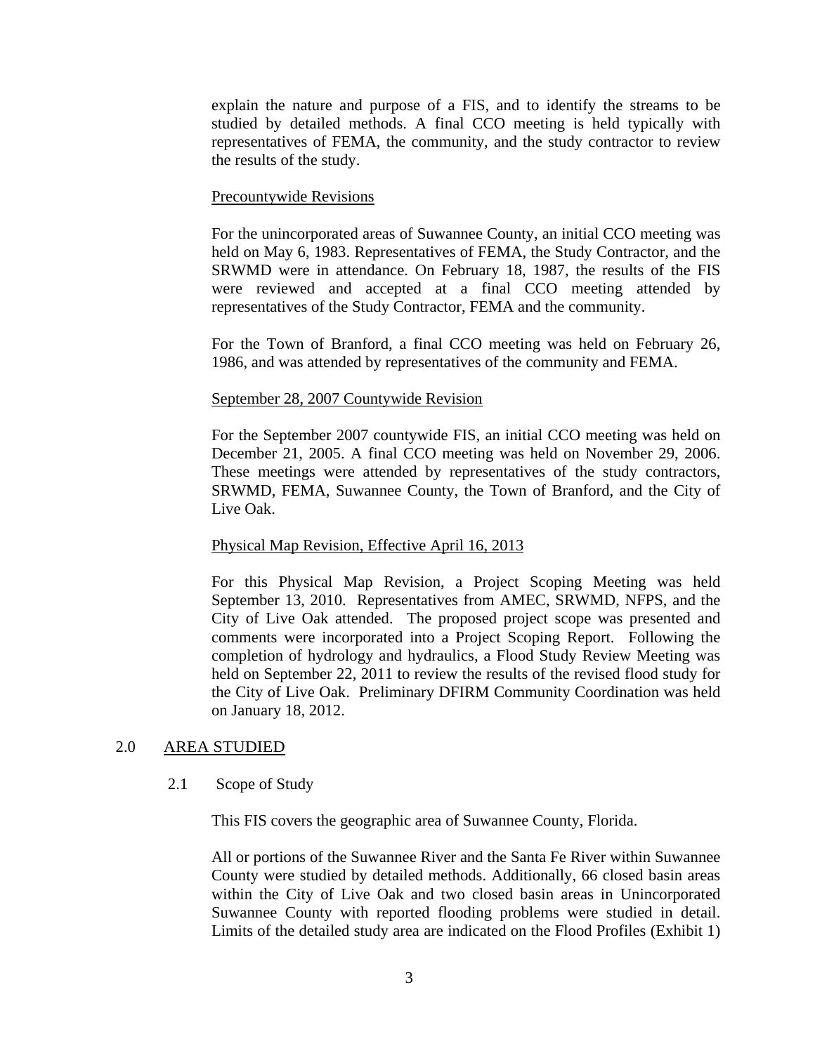explain the nature and purpose of a FIS, and to identify the streams to be studied by detailed methods. A final CCO meeting is held typically with representatives of FEMA, the community, and the study contractor to review the results of the study.

#### Precountywide Revisions

For the unincorporated areas of Suwannee County, an initial CCO meeting was held on May 6, 1983. Representatives of FEMA, the Study Contractor, and the SRWMD were in attendance. On February 18, 1987, the results of the FIS were reviewed and accepted at a final CCO meeting attended by representatives of the Study Contractor, FEMA and the community.

For the Town of Branford, a final CCO meeting was held on February 26, 1986, and was attended by representatives of the community and FEMA.

#### September 28, 2007 Countywide Revision

For the September 2007 countywide FIS, an initial CCO meeting was held on December 21, 2005. A final CCO meeting was held on November 29, 2006. These meetings were attended by representatives of the study contractors, SRWMD, FEMA, Suwannee County, the Town of Branford, and the City of Live Oak.

#### Physical Map Revision, Effective April 16, 2013

For this Physical Map Revision, a Project Scoping Meeting was held September 13, 2010. Representatives from AMEC, SRWMD, NFPS, and the City of Live Oak attended. The proposed project scope was presented and comments were incorporated into a Project Scoping Report. Following the completion of hydrology and hydraulics, a Flood Study Review Meeting was held on September 22, 2011 to review the results of the revised flood study for the City of Live Oak. Preliminary DFIRM Community Coordination was held on January 18, 2012.

#### 2.0 AREA STUDIED

#### 2.1 Scope of Study

This FIS covers the geographic area of Suwannee County, Florida.

All or portions of the Suwannee River and the Santa Fe River within Suwannee County were studied by detailed methods. Additionally, 66 closed basin areas within the City of Live Oak and two closed basin areas in Unincorporated Suwannee County with reported flooding problems were studied in detail. Limits of the detailed study area are indicated on the Flood Profiles (Exhibit 1)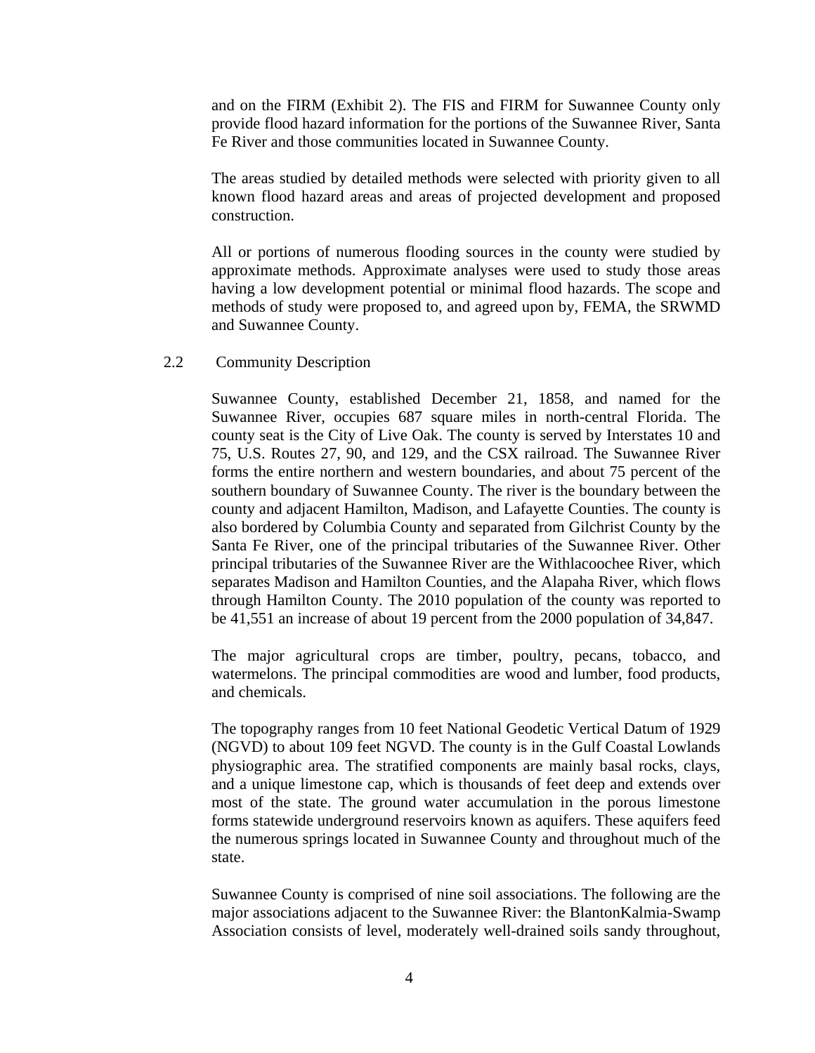and on the FIRM (Exhibit 2). The FIS and FIRM for Suwannee County only provide flood hazard information for the portions of the Suwannee River, Santa Fe River and those communities located in Suwannee County.

The areas studied by detailed methods were selected with priority given to all known flood hazard areas and areas of projected development and proposed construction.

All or portions of numerous flooding sources in the county were studied by approximate methods. Approximate analyses were used to study those areas having a low development potential or minimal flood hazards. The scope and methods of study were proposed to, and agreed upon by, FEMA, the SRWMD and Suwannee County.

#### 2.2 Community Description

Suwannee County, established December 21, 1858, and named for the Suwannee River, occupies 687 square miles in north-central Florida. The county seat is the City of Live Oak. The county is served by Interstates 10 and 75, U.S. Routes 27, 90, and 129, and the CSX railroad. The Suwannee River forms the entire northern and western boundaries, and about 75 percent of the southern boundary of Suwannee County. The river is the boundary between the county and adjacent Hamilton, Madison, and Lafayette Counties. The county is also bordered by Columbia County and separated from Gilchrist County by the Santa Fe River, one of the principal tributaries of the Suwannee River. Other principal tributaries of the Suwannee River are the Withlacoochee River, which separates Madison and Hamilton Counties, and the Alapaha River, which flows through Hamilton County. The 2010 population of the county was reported to be 41,551 an increase of about 19 percent from the 2000 population of 34,847.

The major agricultural crops are timber, poultry, pecans, tobacco, and watermelons. The principal commodities are wood and lumber, food products, and chemicals.

The topography ranges from 10 feet National Geodetic Vertical Datum of 1929 (NGVD) to about 109 feet NGVD. The county is in the Gulf Coastal Lowlands physiographic area. The stratified components are mainly basal rocks, clays, and a unique limestone cap, which is thousands of feet deep and extends over most of the state. The ground water accumulation in the porous limestone forms statewide underground reservoirs known as aquifers. These aquifers feed the numerous springs located in Suwannee County and throughout much of the state.

Suwannee County is comprised of nine soil associations. The following are the major associations adjacent to the Suwannee River: the BlantonKalmia-Swamp Association consists of level, moderately well-drained soils sandy throughout,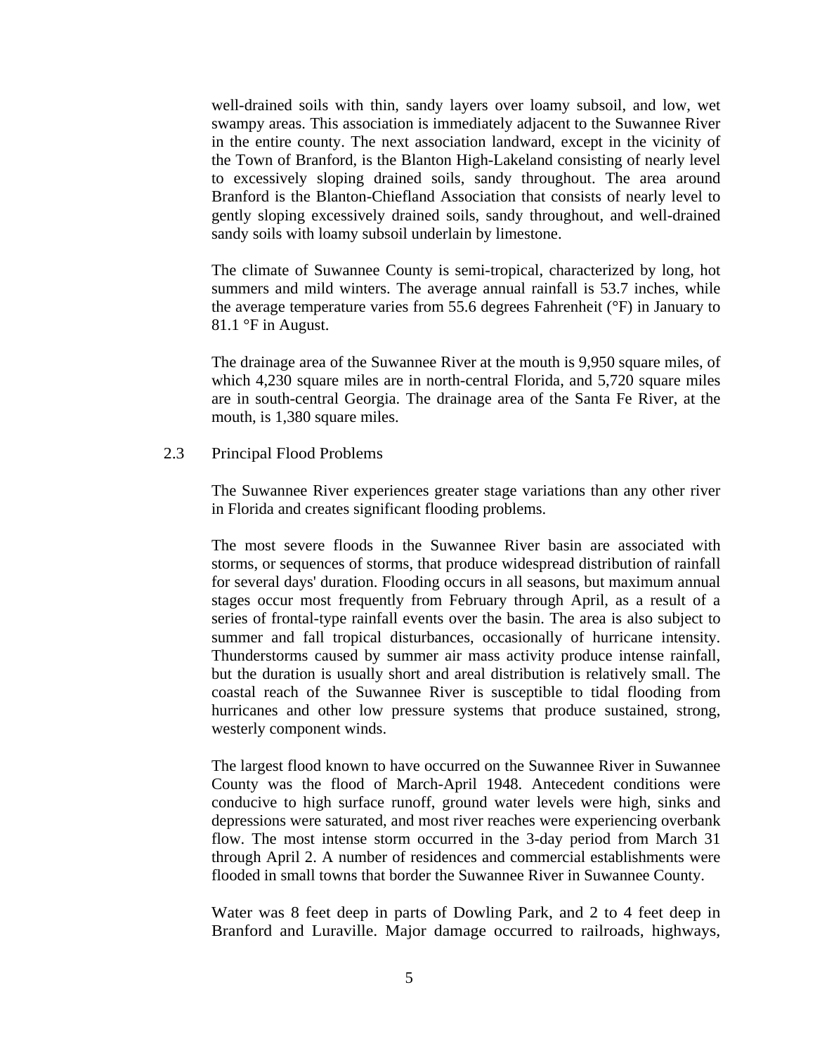well-drained soils with thin, sandy layers over loamy subsoil, and low, wet swampy areas. This association is immediately adjacent to the Suwannee River in the entire county. The next association landward, except in the vicinity of the Town of Branford, is the Blanton High-Lakeland consisting of nearly level to excessively sloping drained soils, sandy throughout. The area around Branford is the Blanton-Chiefland Association that consists of nearly level to gently sloping excessively drained soils, sandy throughout, and well-drained sandy soils with loamy subsoil underlain by limestone.

The climate of Suwannee County is semi-tropical, characterized by long, hot summers and mild winters. The average annual rainfall is 53.7 inches, while the average temperature varies from 55.6 degrees Fahrenheit (°F) in January to 81.1 °F in August.

The drainage area of the Suwannee River at the mouth is 9,950 square miles, of which 4,230 square miles are in north-central Florida, and 5,720 square miles are in south-central Georgia. The drainage area of the Santa Fe River, at the mouth, is 1,380 square miles.

#### 2.3 Principal Flood Problems

The Suwannee River experiences greater stage variations than any other river in Florida and creates significant flooding problems.

The most severe floods in the Suwannee River basin are associated with storms, or sequences of storms, that produce widespread distribution of rainfall for several days' duration. Flooding occurs in all seasons, but maximum annual stages occur most frequently from February through April, as a result of a series of frontal-type rainfall events over the basin. The area is also subject to summer and fall tropical disturbances, occasionally of hurricane intensity. Thunderstorms caused by summer air mass activity produce intense rainfall, but the duration is usually short and areal distribution is relatively small. The coastal reach of the Suwannee River is susceptible to tidal flooding from hurricanes and other low pressure systems that produce sustained, strong, westerly component winds.

The largest flood known to have occurred on the Suwannee River in Suwannee County was the flood of March-April 1948. Antecedent conditions were conducive to high surface runoff, ground water levels were high, sinks and depressions were saturated, and most river reaches were experiencing overbank flow. The most intense storm occurred in the 3-day period from March 31 through April 2. A number of residences and commercial establishments were flooded in small towns that border the Suwannee River in Suwannee County.

Water was 8 feet deep in parts of Dowling Park, and 2 to 4 feet deep in Branford and Luraville. Major damage occurred to railroads, highways,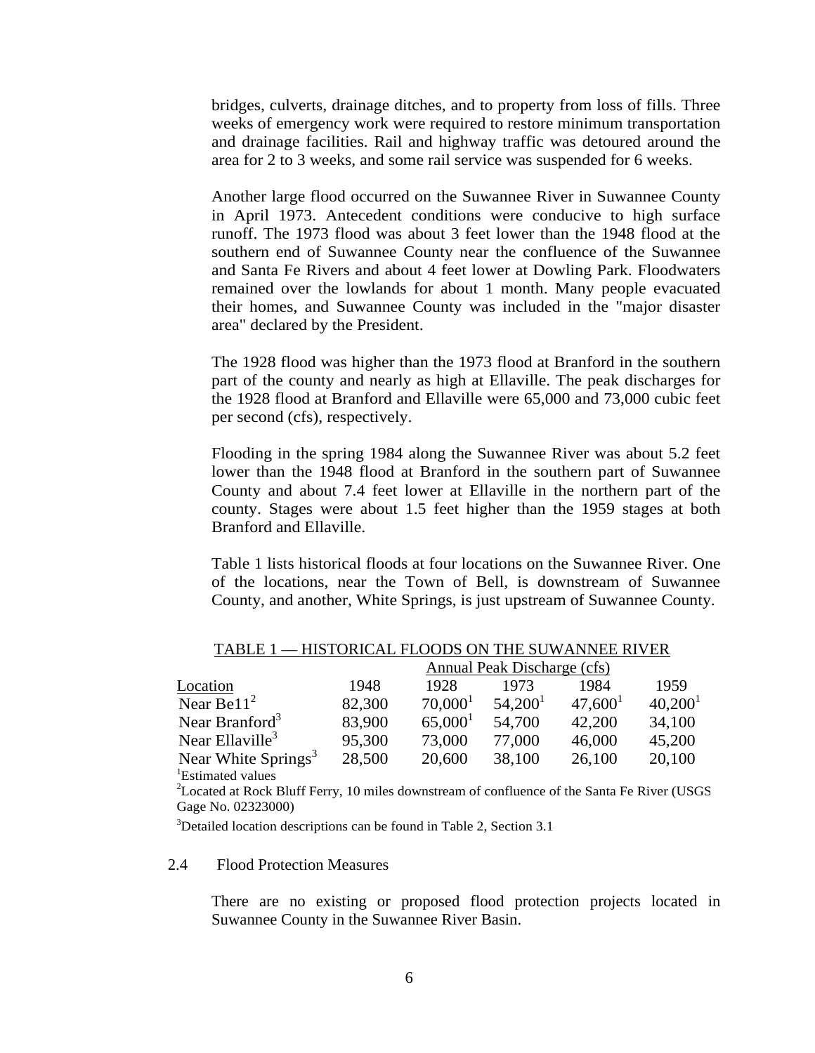bridges, culverts, drainage ditches, and to property from loss of fills. Three weeks of emergency work were required to restore minimum transportation and drainage facilities. Rail and highway traffic was detoured around the area for 2 to 3 weeks, and some rail service was suspended for 6 weeks.

Another large flood occurred on the Suwannee River in Suwannee County in April 1973. Antecedent conditions were conducive to high surface runoff. The 1973 flood was about 3 feet lower than the 1948 flood at the southern end of Suwannee County near the confluence of the Suwannee and Santa Fe Rivers and about 4 feet lower at Dowling Park. Floodwaters remained over the lowlands for about 1 month. Many people evacuated their homes, and Suwannee County was included in the "major disaster area" declared by the President.

The 1928 flood was higher than the 1973 flood at Branford in the southern part of the county and nearly as high at Ellaville. The peak discharges for the 1928 flood at Branford and Ellaville were 65,000 and 73,000 cubic feet per second (cfs), respectively.

Flooding in the spring 1984 along the Suwannee River was about 5.2 feet lower than the 1948 flood at Branford in the southern part of Suwannee County and about 7.4 feet lower at Ellaville in the northern part of the county. Stages were about 1.5 feet higher than the 1959 stages at both Branford and Ellaville.

Table 1 lists historical floods at four locations on the Suwannee River. One of the locations, near the Town of Bell, is downstream of Suwannee County, and another, White Springs, is just upstream of Suwannee County.

|                                 | Annual Peak Discharge (cfs) |                     |                     |            |                     |  |
|---------------------------------|-----------------------------|---------------------|---------------------|------------|---------------------|--|
| Location                        | 1948                        | 1928                | 1973                | 1984       | 1959                |  |
| Near Be $112$                   | 82,300                      | 70,000 <sup>1</sup> | 54.200 <sup>1</sup> | $47,600^1$ | 40,200 <sup>1</sup> |  |
| Near Branford <sup>3</sup>      | 83,900                      | 65,000 <sup>1</sup> | 54,700              | 42,200     | 34,100              |  |
| Near Ellaville <sup>3</sup>     | 95,300                      | 73,000              | 77,000              | 46,000     | 45,200              |  |
| Near White Springs <sup>3</sup> | 28,500                      | 20,600              | 38,100              | 26,100     | 20,100              |  |
| <sup>1</sup> Estimated values   |                             |                     |                     |            |                     |  |

#### TABLE 1 — HISTORICAL FLOODS ON THE SUWANNEE RIVER

 $2^2$ Located at Rock Bluff Ferry, 10 miles downstream of confluence of the Santa Fe River (USGS) Gage No. 02323000)

<sup>3</sup>Detailed location descriptions can be found in Table 2, Section 3.1

#### 2.4 Flood Protection Measures

There are no existing or proposed flood protection projects located in Suwannee County in the Suwannee River Basin.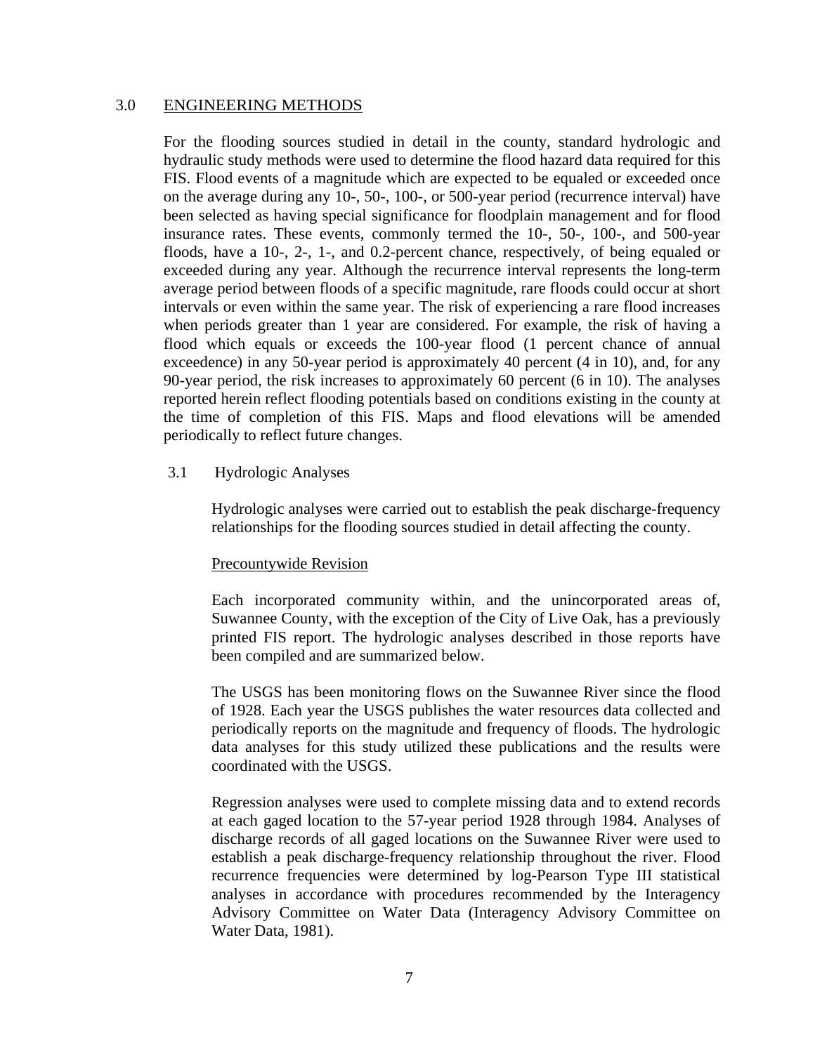#### 3.0 ENGINEERING METHODS

For the flooding sources studied in detail in the county, standard hydrologic and hydraulic study methods were used to determine the flood hazard data required for this FIS. Flood events of a magnitude which are expected to be equaled or exceeded once on the average during any 10-, 50-, 100-, or 500-year period (recurrence interval) have been selected as having special significance for floodplain management and for flood insurance rates. These events, commonly termed the 10-, 50-, 100-, and 500-year floods, have a 10-, 2-, 1-, and 0.2-percent chance, respectively, of being equaled or exceeded during any year. Although the recurrence interval represents the long-term average period between floods of a specific magnitude, rare floods could occur at short intervals or even within the same year. The risk of experiencing a rare flood increases when periods greater than 1 year are considered. For example, the risk of having a flood which equals or exceeds the 100-year flood (1 percent chance of annual exceedence) in any 50-year period is approximately 40 percent (4 in 10), and, for any 90-year period, the risk increases to approximately 60 percent (6 in 10). The analyses reported herein reflect flooding potentials based on conditions existing in the county at the time of completion of this FIS. Maps and flood elevations will be amended periodically to reflect future changes.

3.1 Hydrologic Analyses

Hydrologic analyses were carried out to establish the peak discharge-frequency relationships for the flooding sources studied in detail affecting the county.

#### Precountywide Revision

Each incorporated community within, and the unincorporated areas of, Suwannee County, with the exception of the City of Live Oak, has a previously printed FIS report. The hydrologic analyses described in those reports have been compiled and are summarized below.

The USGS has been monitoring flows on the Suwannee River since the flood of 1928. Each year the USGS publishes the water resources data collected and periodically reports on the magnitude and frequency of floods. The hydrologic data analyses for this study utilized these publications and the results were coordinated with the USGS.

Regression analyses were used to complete missing data and to extend records at each gaged location to the 57-year period 1928 through 1984. Analyses of discharge records of all gaged locations on the Suwannee River were used to establish a peak discharge-frequency relationship throughout the river. Flood recurrence frequencies were determined by log-Pearson Type III statistical analyses in accordance with procedures recommended by the Interagency Advisory Committee on Water Data (Interagency Advisory Committee on Water Data, 1981).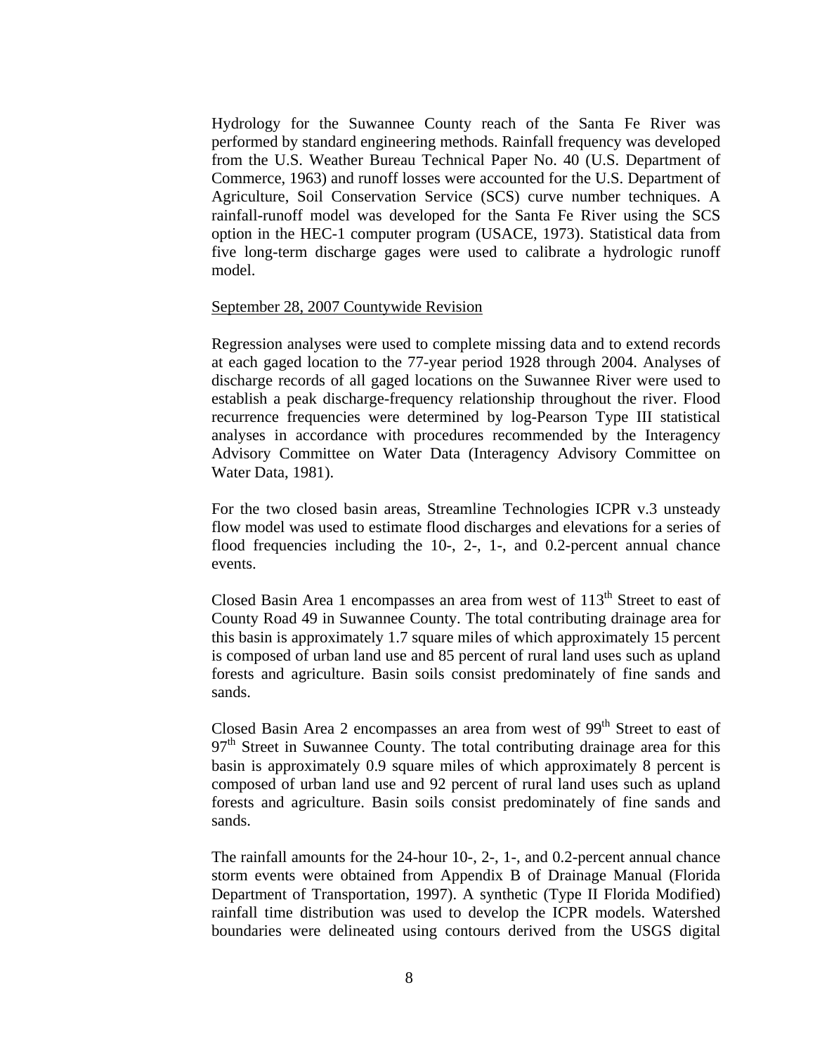Hydrology for the Suwannee County reach of the Santa Fe River was performed by standard engineering methods. Rainfall frequency was developed from the U.S. Weather Bureau Technical Paper No. 40 (U.S. Department of Commerce, 1963) and runoff losses were accounted for the U.S. Department of Agriculture, Soil Conservation Service (SCS) curve number techniques. A rainfall-runoff model was developed for the Santa Fe River using the SCS option in the HEC-1 computer program (USACE, 1973). Statistical data from five long-term discharge gages were used to calibrate a hydrologic runoff model.

#### September 28, 2007 Countywide Revision

Regression analyses were used to complete missing data and to extend records at each gaged location to the 77-year period 1928 through 2004. Analyses of discharge records of all gaged locations on the Suwannee River were used to establish a peak discharge-frequency relationship throughout the river. Flood recurrence frequencies were determined by log-Pearson Type III statistical analyses in accordance with procedures recommended by the Interagency Advisory Committee on Water Data (Interagency Advisory Committee on Water Data, 1981).

For the two closed basin areas, Streamline Technologies ICPR v.3 unsteady flow model was used to estimate flood discharges and elevations for a series of flood frequencies including the 10-, 2-, 1-, and 0.2-percent annual chance events.

Closed Basin Area 1 encompasses an area from west of  $113<sup>th</sup>$  Street to east of County Road 49 in Suwannee County. The total contributing drainage area for this basin is approximately 1.7 square miles of which approximately 15 percent is composed of urban land use and 85 percent of rural land uses such as upland forests and agriculture. Basin soils consist predominately of fine sands and sands.

Closed Basin Area 2 encompasses an area from west of  $99<sup>th</sup>$  Street to east of  $97<sup>th</sup>$  Street in Suwannee County. The total contributing drainage area for this basin is approximately 0.9 square miles of which approximately 8 percent is composed of urban land use and 92 percent of rural land uses such as upland forests and agriculture. Basin soils consist predominately of fine sands and sands.

The rainfall amounts for the 24-hour 10-, 2-, 1-, and 0.2-percent annual chance storm events were obtained from Appendix B of Drainage Manual (Florida Department of Transportation, 1997). A synthetic (Type II Florida Modified) rainfall time distribution was used to develop the ICPR models. Watershed boundaries were delineated using contours derived from the USGS digital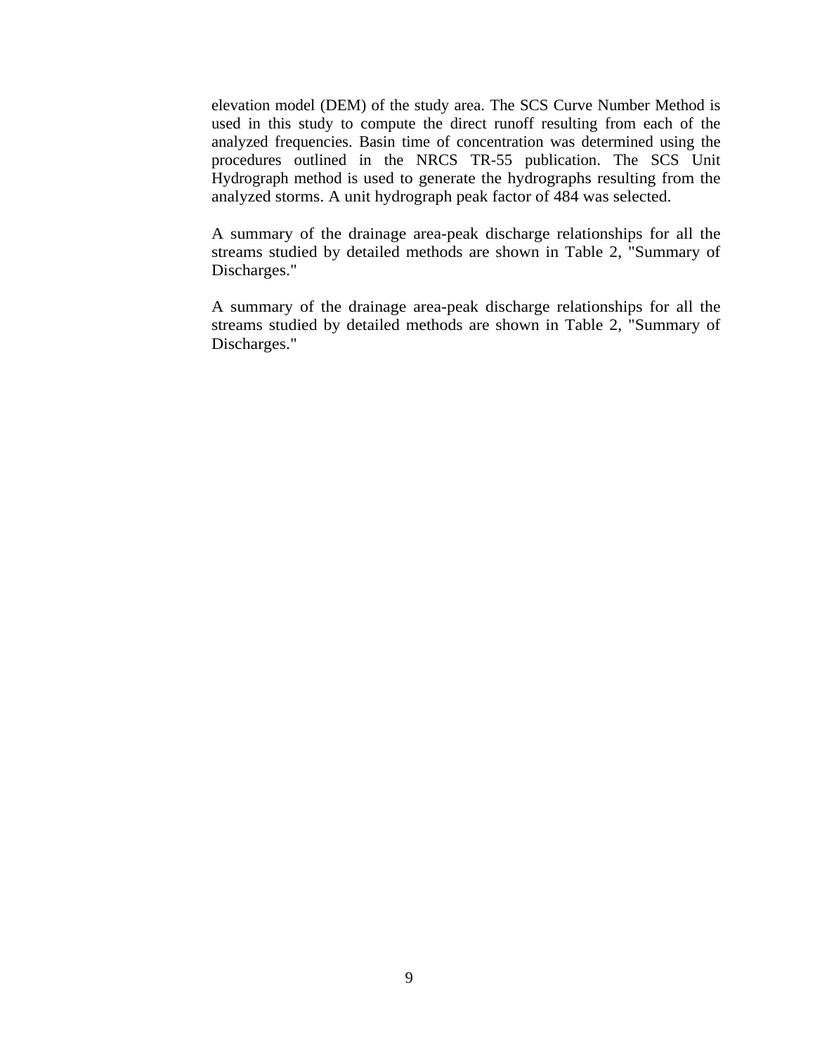elevation model (DEM) of the study area. The SCS Curve Number Method is used in this study to compute the direct runoff resulting from each of the analyzed frequencies. Basin time of concentration was determined using the procedures outlined in the NRCS TR-55 publication. The SCS Unit Hydrograph method is used to generate the hydrographs resulting from the analyzed storms. A unit hydrograph peak factor of 484 was selected.

A summary of the drainage area-peak discharge relationships for all the streams studied by detailed methods are shown in Table 2, "Summary of Discharges."

A summary of the drainage area-peak discharge relationships for all the streams studied by detailed methods are shown in Table 2, "Summary of Discharges."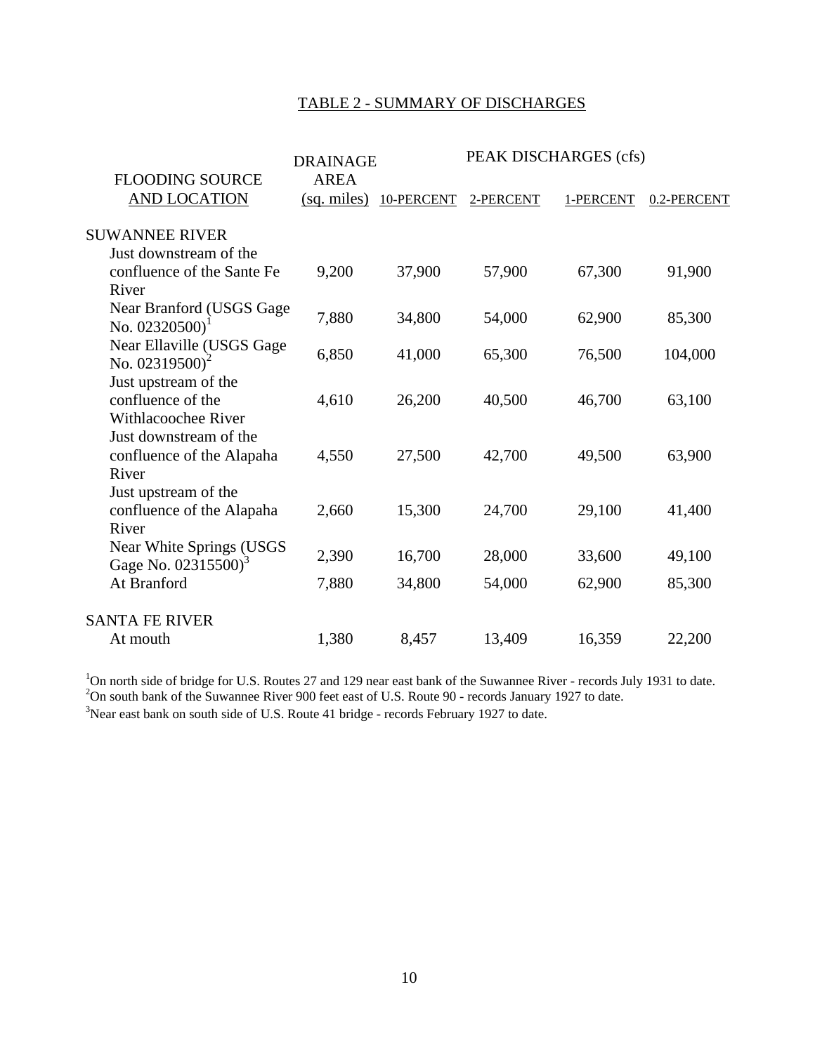#### TABLE 2 - SUMMARY OF DISCHARGES

|                                                                         | <b>DRAINAGE</b>                     |            |           | PEAK DISCHARGES (cfs) |             |
|-------------------------------------------------------------------------|-------------------------------------|------------|-----------|-----------------------|-------------|
| <b>FLOODING SOURCE</b><br><b>AND LOCATION</b>                           | <b>AREA</b><br>$(sq \text{ miles})$ | 10-PERCENT | 2-PERCENT | 1-PERCENT             | 0.2-PERCENT |
| <b>SUWANNEE RIVER</b>                                                   |                                     |            |           |                       |             |
| Just downstream of the                                                  |                                     |            |           |                       |             |
| confluence of the Sante Fe<br>River                                     | 9,200                               | 37,900     | 57,900    | 67,300                | 91,900      |
| Near Branford (USGS Gage<br>No. $02320500$ <sup>1</sup>                 | 7,880                               | 34,800     | 54,000    | 62,900                | 85,300      |
| Near Ellaville (USGS Gage<br>No. $02319500$ <sup>2</sup>                | 6,850                               | 41,000     | 65,300    | 76,500                | 104,000     |
| Just upstream of the<br>confluence of the<br><b>Withlacoochee River</b> | 4,610                               | 26,200     | 40,500    | 46,700                | 63,100      |
| Just downstream of the<br>confluence of the Alapaha<br>River            | 4,550                               | 27,500     | 42,700    | 49,500                | 63,900      |
| Just upstream of the<br>confluence of the Alapaha<br>River              | 2,660                               | 15,300     | 24,700    | 29,100                | 41,400      |
| Near White Springs (USGS<br>Gage No. 02315500) <sup>3</sup>             | 2,390                               | 16,700     | 28,000    | 33,600                | 49,100      |
| At Branford                                                             | 7,880                               | 34,800     | 54,000    | 62,900                | 85,300      |
| <b>SANTA FE RIVER</b>                                                   |                                     |            |           |                       |             |
| At mouth                                                                | 1,380                               | 8,457      | 13,409    | 16,359                | 22,200      |

<sup>1</sup>On north side of bridge for U.S. Routes 27 and 129 near east bank of the Suwannee River - records July 1931 to date.  ${}^{2}$ On south bank of the Suwannee River 900 feet east of U.S. Route 90 - records January 1927 to da <sup>3</sup>Near east bank on south side of U.S. Route 41 bridge - records February 1927 to date.

10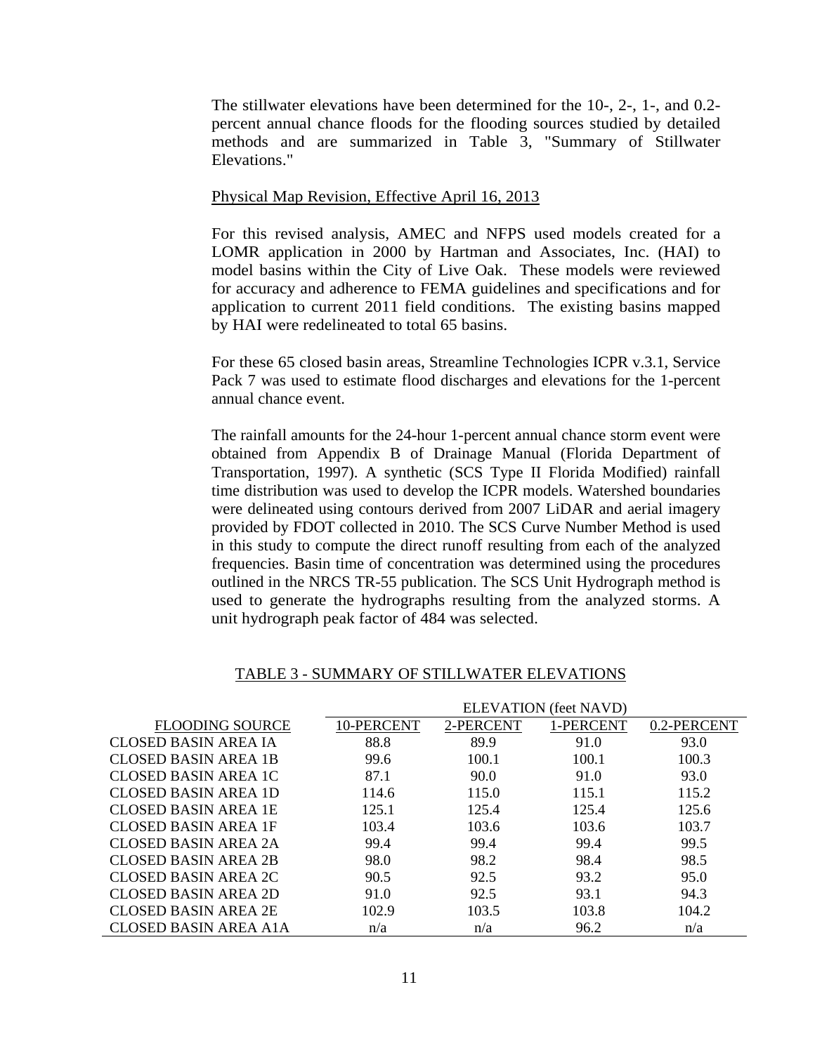The stillwater elevations have been determined for the 10-, 2-, 1-, and 0.2 percent annual chance floods for the flooding sources studied by detailed methods and are summarized in Table 3, "Summary of Stillwater Elevations."

#### Physical Map Revision, Effective April 16, 2013

For this revised analysis, AMEC and NFPS used models created for a LOMR application in 2000 by Hartman and Associates, Inc. (HAI) to model basins within the City of Live Oak. These models were reviewed for accuracy and adherence to FEMA guidelines and specifications and for application to current 2011 field conditions. The existing basins mapped by HAI were redelineated to total 65 basins.

For these 65 closed basin areas, Streamline Technologies ICPR v.3.1, Service Pack 7 was used to estimate flood discharges and elevations for the 1-percent annual chance event.

The rainfall amounts for the 24-hour 1-percent annual chance storm event were obtained from Appendix B of Drainage Manual (Florida Department of Transportation, 1997). A synthetic (SCS Type II Florida Modified) rainfall time distribution was used to develop the ICPR models. Watershed boundaries were delineated using contours derived from 2007 LiDAR and aerial imagery provided by FDOT collected in 2010. The SCS Curve Number Method is used in this study to compute the direct runoff resulting from each of the analyzed frequencies. Basin time of concentration was determined using the procedures outlined in the NRCS TR-55 publication. The SCS Unit Hydrograph method is used to generate the hydrographs resulting from the analyzed storms. A unit hydrograph peak factor of 484 was selected.

|                              |            |           | <b>ELEVATION</b> (feet NAVD) |             |
|------------------------------|------------|-----------|------------------------------|-------------|
| <b>FLOODING SOURCE</b>       | 10-PERCENT | 2-PERCENT | 1-PERCENT                    | 0.2-PERCENT |
| <b>CLOSED BASIN AREA IA</b>  | 88.8       | 89.9      | 91.0                         | 93.0        |
| <b>CLOSED BASIN AREA 1B</b>  | 99.6       | 100.1     | 100.1                        | 100.3       |
| CLOSED BASIN AREA 1C         | 87.1       | 90.0      | 91.0                         | 93.0        |
| CLOSED BASIN AREA 1D         | 114.6      | 115.0     | 115.1                        | 115.2       |
| <b>CLOSED BASIN AREA 1E</b>  | 125.1      | 125.4     | 125.4                        | 125.6       |
| <b>CLOSED BASIN AREA 1F</b>  | 103.4      | 103.6     | 103.6                        | 103.7       |
| CLOSED BASIN AREA 2A         | 99.4       | 99.4      | 99.4                         | 99.5        |
| <b>CLOSED BASIN AREA 2B</b>  | 98.0       | 98.2      | 98.4                         | 98.5        |
| CLOSED BASIN AREA 2C         | 90.5       | 92.5      | 93.2                         | 95.0        |
| CLOSED BASIN AREA 2D         | 91.0       | 92.5      | 93.1                         | 94.3        |
| <b>CLOSED BASIN AREA 2E</b>  | 102.9      | 103.5     | 103.8                        | 104.2       |
| <b>CLOSED BASIN AREA A1A</b> | n/a        | n/a       | 96.2                         | n/a         |

#### TABLE 3 - SUMMARY OF STILLWATER ELEVATIONS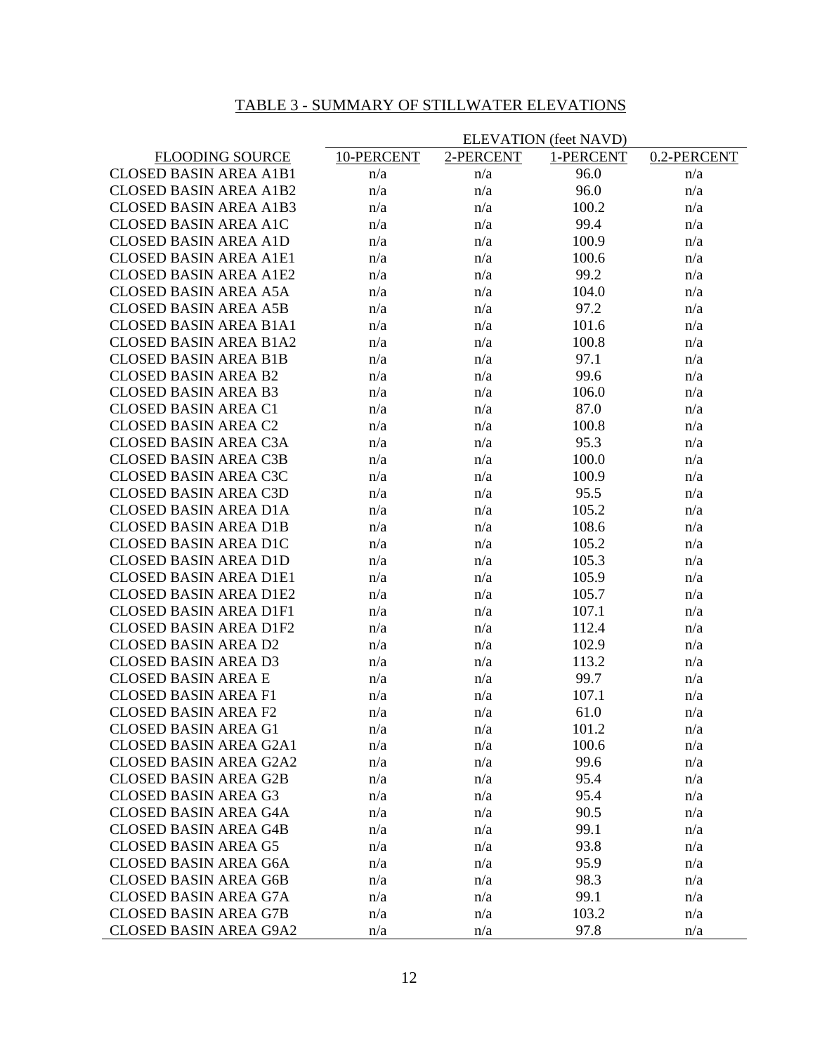## TABLE 3 - SUMMARY OF STILLWATER ELEVATIONS

|                                                              |            |           | <b>ELEVATION</b> (feet NAVD) |             |
|--------------------------------------------------------------|------------|-----------|------------------------------|-------------|
| <b>FLOODING SOURCE</b>                                       | 10-PERCENT | 2-PERCENT | 1-PERCENT                    | 0.2-PERCENT |
| <b>CLOSED BASIN AREA A1B1</b>                                | n/a        | n/a       | 96.0                         | n/a         |
| <b>CLOSED BASIN AREA A1B2</b>                                | n/a        | n/a       | 96.0                         | n/a         |
| <b>CLOSED BASIN AREA A1B3</b>                                | n/a        | n/a       | 100.2                        | n/a         |
| <b>CLOSED BASIN AREA A1C</b>                                 | n/a        | n/a       | 99.4                         | n/a         |
| <b>CLOSED BASIN AREA A1D</b>                                 | n/a        | n/a       | 100.9                        | n/a         |
| <b>CLOSED BASIN AREA A1E1</b>                                | n/a        | n/a       | 100.6                        | n/a         |
| <b>CLOSED BASIN AREA A1E2</b>                                | n/a        | n/a       | 99.2                         | n/a         |
| <b>CLOSED BASIN AREA A5A</b>                                 | n/a        | n/a       | 104.0                        | n/a         |
| <b>CLOSED BASIN AREA A5B</b>                                 | n/a        | n/a       | 97.2                         | n/a         |
| <b>CLOSED BASIN AREA B1A1</b>                                | n/a        | n/a       | 101.6                        | n/a         |
| <b>CLOSED BASIN AREA B1A2</b>                                | n/a        | n/a       | 100.8                        | n/a         |
| <b>CLOSED BASIN AREA B1B</b>                                 | n/a        | n/a       | 97.1                         | n/a         |
| <b>CLOSED BASIN AREA B2</b>                                  | n/a        | n/a       | 99.6                         | n/a         |
| <b>CLOSED BASIN AREA B3</b>                                  | n/a        | n/a       | 106.0                        | n/a         |
| <b>CLOSED BASIN AREA C1</b>                                  | n/a        | n/a       | 87.0                         | n/a         |
| <b>CLOSED BASIN AREA C2</b>                                  | n/a        | n/a       | 100.8                        | n/a         |
| <b>CLOSED BASIN AREA C3A</b>                                 | n/a        | n/a       | 95.3                         | n/a         |
| <b>CLOSED BASIN AREA C3B</b>                                 | n/a        | n/a       | 100.0                        | n/a         |
| <b>CLOSED BASIN AREA C3C</b>                                 | n/a        | n/a       | 100.9                        | n/a         |
| <b>CLOSED BASIN AREA C3D</b>                                 | n/a        | n/a       | 95.5                         | n/a         |
| <b>CLOSED BASIN AREA D1A</b>                                 | n/a        | n/a       | 105.2                        | n/a         |
| <b>CLOSED BASIN AREA D1B</b>                                 | n/a        | n/a       | 108.6                        | n/a         |
| <b>CLOSED BASIN AREA D1C</b>                                 | n/a        | n/a       | 105.2                        | n/a         |
| <b>CLOSED BASIN AREA D1D</b>                                 | n/a        | n/a       | 105.3                        | n/a         |
| <b>CLOSED BASIN AREA D1E1</b>                                | n/a        | n/a       | 105.9                        | n/a         |
| <b>CLOSED BASIN AREA D1E2</b>                                | n/a        | n/a       | 105.7                        | n/a         |
| <b>CLOSED BASIN AREA D1F1</b>                                | n/a        | n/a       | 107.1                        | n/a         |
| <b>CLOSED BASIN AREA D1F2</b>                                | n/a        | n/a       | 112.4                        | n/a         |
| <b>CLOSED BASIN AREA D2</b>                                  | n/a        | n/a       | 102.9                        | n/a         |
| <b>CLOSED BASIN AREA D3</b>                                  | n/a        | n/a       | 113.2                        | n/a         |
| <b>CLOSED BASIN AREA E</b>                                   | n/a        | n/a       | 99.7                         | n/a         |
| <b>CLOSED BASIN AREA F1</b>                                  | n/a        | n/a       | 107.1                        | n/a         |
| <b>CLOSED BASIN AREA F2</b>                                  | n/a        | n/a       | 61.0                         | n/a         |
| <b>CLOSED BASIN AREA G1</b>                                  | n/a        | n/a       | 101.2                        | n/a         |
| <b>CLOSED BASIN AREA G2A1</b>                                | n/a        | n/a       | 100.6                        | n/a         |
| <b>CLOSED BASIN AREA G2A2</b>                                | n/a        | n/a       | 99.6                         | n/a         |
| <b>CLOSED BASIN AREA G2B</b>                                 | n/a        | n/a       | 95.4                         | n/a         |
| <b>CLOSED BASIN AREA G3</b>                                  | n/a        | n/a       | 95.4                         | n/a         |
|                                                              |            |           | 90.5                         |             |
| <b>CLOSED BASIN AREA G4A</b><br><b>CLOSED BASIN AREA G4B</b> | n/a        | n/a       | 99.1                         | n/a         |
| <b>CLOSED BASIN AREA G5</b>                                  | n/a        | n/a       |                              | n/a         |
|                                                              | n/a        | n/a       | 93.8                         | n/a         |
| <b>CLOSED BASIN AREA G6A</b>                                 | n/a        | n/a       | 95.9                         | n/a         |
| <b>CLOSED BASIN AREA G6B</b>                                 | n/a        | n/a       | 98.3                         | n/a         |
| <b>CLOSED BASIN AREA G7A</b>                                 | n/a        | n/a       | 99.1                         | n/a         |
| <b>CLOSED BASIN AREA G7B</b>                                 | n/a        | n/a       | 103.2                        | n/a         |
| <b>CLOSED BASIN AREA G9A2</b>                                | n/a        | n/a       | 97.8                         | n/a         |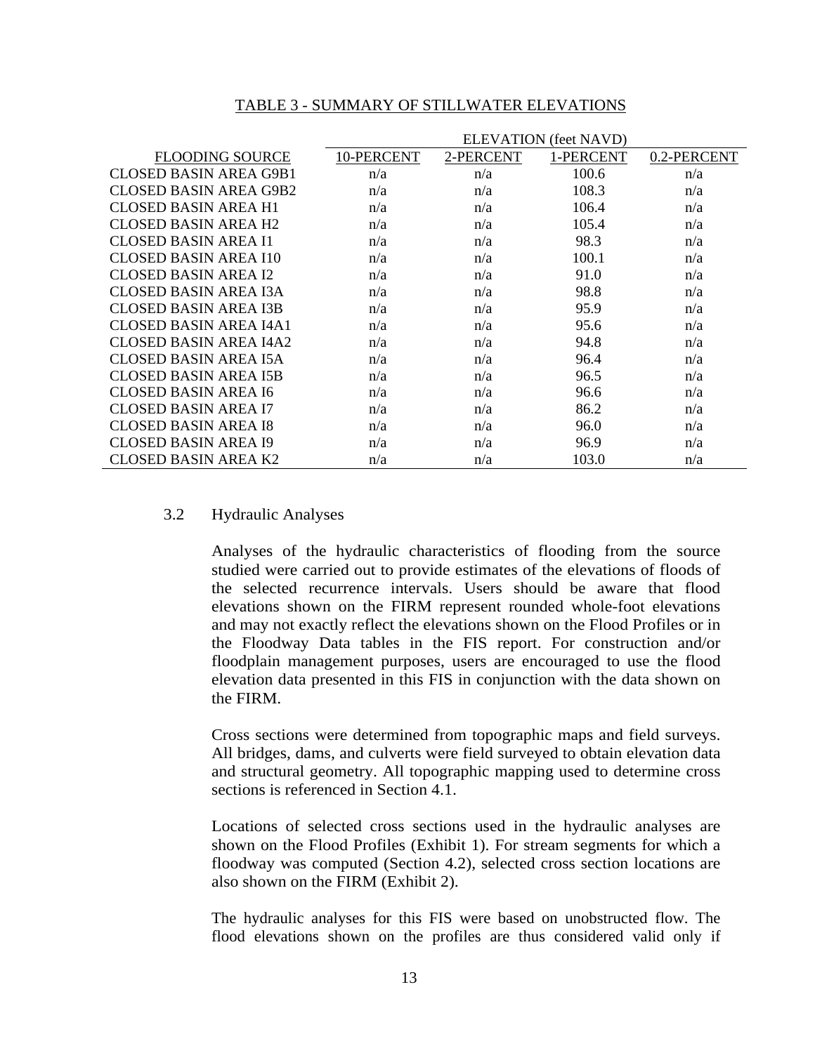#### TABLE 3 - SUMMARY OF STILLWATER ELEVATIONS

|                               |            |           | <b>ELEVATION</b> (feet NAVD) |             |
|-------------------------------|------------|-----------|------------------------------|-------------|
| <b>FLOODING SOURCE</b>        | 10-PERCENT | 2-PERCENT | 1-PERCENT                    | 0.2-PERCENT |
| <b>CLOSED BASIN AREA G9B1</b> | n/a        | n/a       | 100.6                        | n/a         |
| CLOSED BASIN AREA G9B2        | n/a        | n/a       | 108.3                        | n/a         |
| CLOSED BASIN AREA H1          | n/a        | n/a       | 106.4                        | n/a         |
| <b>CLOSED BASIN AREA H2</b>   | n/a        | n/a       | 105.4                        | n/a         |
| CLOSED BASIN AREA I1          | n/a        | n/a       | 98.3                         | n/a         |
| CLOSED BASIN AREA I10         | n/a        | n/a       | 100.1                        | n/a         |
| <b>CLOSED BASIN AREA I2</b>   | n/a        | n/a       | 91.0                         | n/a         |
| CLOSED BASIN AREA I3A         | n/a        | n/a       | 98.8                         | n/a         |
| <b>CLOSED BASIN AREA I3B</b>  | n/a        | n/a       | 95.9                         | n/a         |
| CLOSED BASIN AREA I4A1        | n/a        | n/a       | 95.6                         | n/a         |
| CLOSED BASIN AREA I4A2        | n/a        | n/a       | 94.8                         | n/a         |
| <b>CLOSED BASIN AREA I5A</b>  | n/a        | n/a       | 96.4                         | n/a         |
| <b>CLOSED BASIN AREA I5B</b>  | n/a        | n/a       | 96.5                         | n/a         |
| <b>CLOSED BASIN AREA I6</b>   | n/a        | n/a       | 96.6                         | n/a         |
| CLOSED BASIN AREA I7          | n/a        | n/a       | 86.2                         | n/a         |
| <b>CLOSED BASIN AREA I8</b>   | n/a        | n/a       | 96.0                         | n/a         |
| CLOSED BASIN AREA I9          | n/a        | n/a       | 96.9                         | n/a         |
| CLOSED BASIN AREA K2          | n/a        | n/a       | 103.0                        | n/a         |

#### 3.2 Hydraulic Analyses

Analyses of the hydraulic characteristics of flooding from the source studied were carried out to provide estimates of the elevations of floods of the selected recurrence intervals. Users should be aware that flood elevations shown on the FIRM represent rounded whole-foot elevations and may not exactly reflect the elevations shown on the Flood Profiles or in the Floodway Data tables in the FIS report. For construction and/or floodplain management purposes, users are encouraged to use the flood elevation data presented in this FIS in conjunction with the data shown on the FIRM.

Cross sections were determined from topographic maps and field surveys. All bridges, dams, and culverts were field surveyed to obtain elevation data and structural geometry. All topographic mapping used to determine cross sections is referenced in Section 4.1.

Locations of selected cross sections used in the hydraulic analyses are shown on the Flood Profiles (Exhibit 1). For stream segments for which a floodway was computed (Section 4.2), selected cross section locations are also shown on the FIRM (Exhibit 2).

The hydraulic analyses for this FIS were based on unobstructed flow. The flood elevations shown on the profiles are thus considered valid only if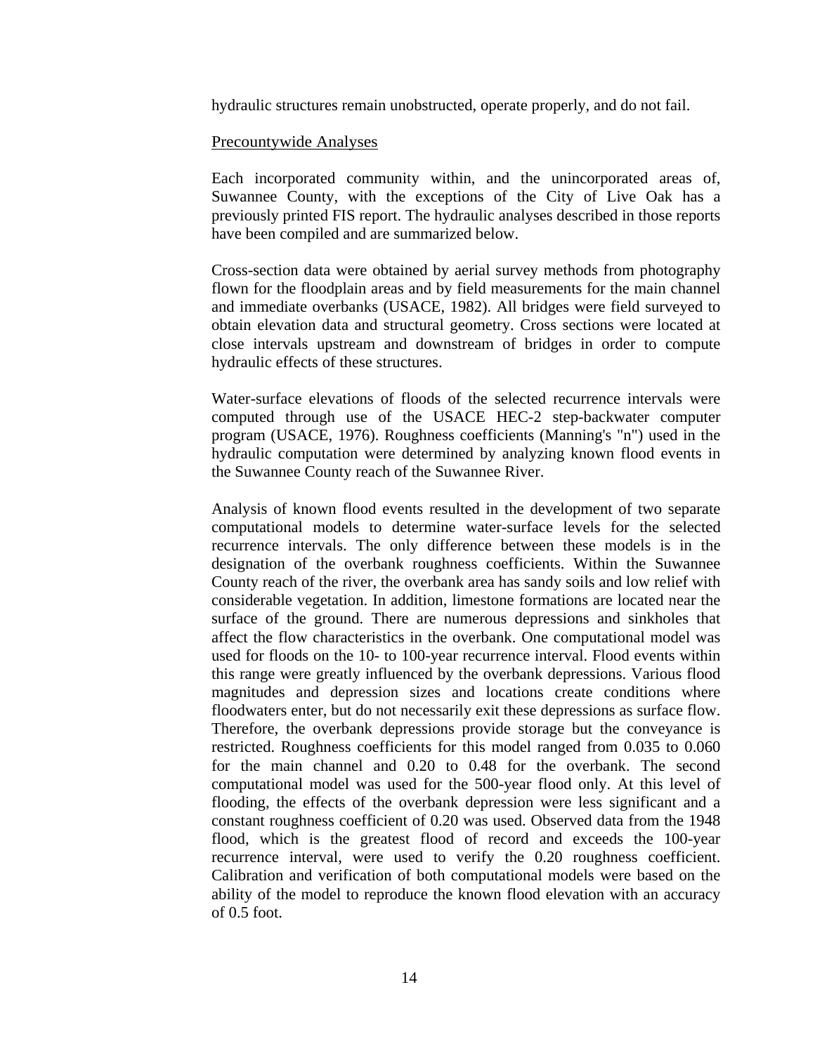hydraulic structures remain unobstructed, operate properly, and do not fail.

#### Precountywide Analyses

Each incorporated community within, and the unincorporated areas of, Suwannee County, with the exceptions of the City of Live Oak has a previously printed FIS report. The hydraulic analyses described in those reports have been compiled and are summarized below.

Cross-section data were obtained by aerial survey methods from photography flown for the floodplain areas and by field measurements for the main channel and immediate overbanks (USACE, 1982). All bridges were field surveyed to obtain elevation data and structural geometry. Cross sections were located at close intervals upstream and downstream of bridges in order to compute hydraulic effects of these structures.

Water-surface elevations of floods of the selected recurrence intervals were computed through use of the USACE HEC-2 step-backwater computer program (USACE, 1976). Roughness coefficients (Manning's "n") used in the hydraulic computation were determined by analyzing known flood events in the Suwannee County reach of the Suwannee River.

Analysis of known flood events resulted in the development of two separate computational models to determine water-surface levels for the selected recurrence intervals. The only difference between these models is in the designation of the overbank roughness coefficients. Within the Suwannee County reach of the river, the overbank area has sandy soils and low relief with considerable vegetation. In addition, limestone formations are located near the surface of the ground. There are numerous depressions and sinkholes that affect the flow characteristics in the overbank. One computational model was used for floods on the 10- to 100-year recurrence interval. Flood events within this range were greatly influenced by the overbank depressions. Various flood magnitudes and depression sizes and locations create conditions where floodwaters enter, but do not necessarily exit these depressions as surface flow. Therefore, the overbank depressions provide storage but the conveyance is restricted. Roughness coefficients for this model ranged from 0.035 to 0.060 for the main channel and 0.20 to 0.48 for the overbank. The second computational model was used for the 500-year flood only. At this level of flooding, the effects of the overbank depression were less significant and a constant roughness coefficient of 0.20 was used. Observed data from the 1948 flood, which is the greatest flood of record and exceeds the 100-year recurrence interval, were used to verify the 0.20 roughness coefficient. Calibration and verification of both computational models were based on the ability of the model to reproduce the known flood elevation with an accuracy of 0.5 foot.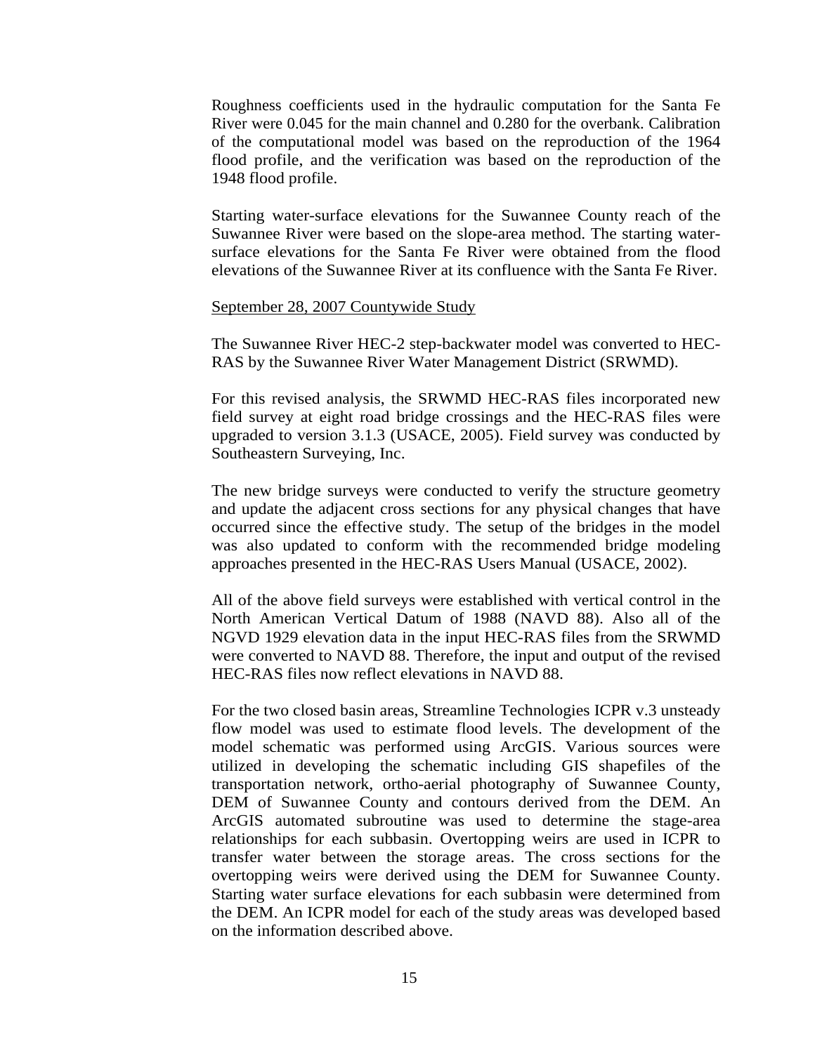Roughness coefficients used in the hydraulic computation for the Santa Fe River were 0.045 for the main channel and 0.280 for the overbank. Calibration of the computational model was based on the reproduction of the 1964 flood profile, and the verification was based on the reproduction of the 1948 flood profile.

Starting water-surface elevations for the Suwannee County reach of the Suwannee River were based on the slope-area method. The starting watersurface elevations for the Santa Fe River were obtained from the flood elevations of the Suwannee River at its confluence with the Santa Fe River.

#### September 28, 2007 Countywide Study

The Suwannee River HEC-2 step-backwater model was converted to HEC-RAS by the Suwannee River Water Management District (SRWMD).

For this revised analysis, the SRWMD HEC-RAS files incorporated new field survey at eight road bridge crossings and the HEC-RAS files were upgraded to version 3.1.3 (USACE, 2005). Field survey was conducted by Southeastern Surveying, Inc.

The new bridge surveys were conducted to verify the structure geometry and update the adjacent cross sections for any physical changes that have occurred since the effective study. The setup of the bridges in the model was also updated to conform with the recommended bridge modeling approaches presented in the HEC-RAS Users Manual (USACE, 2002).

All of the above field surveys were established with vertical control in the North American Vertical Datum of 1988 (NAVD 88). Also all of the NGVD 1929 elevation data in the input HEC-RAS files from the SRWMD were converted to NAVD 88. Therefore, the input and output of the revised HEC-RAS files now reflect elevations in NAVD 88.

For the two closed basin areas, Streamline Technologies ICPR v.3 unsteady flow model was used to estimate flood levels. The development of the model schematic was performed using ArcGIS. Various sources were utilized in developing the schematic including GIS shapefiles of the transportation network, ortho-aerial photography of Suwannee County, DEM of Suwannee County and contours derived from the DEM. An ArcGIS automated subroutine was used to determine the stage-area relationships for each subbasin. Overtopping weirs are used in ICPR to transfer water between the storage areas. The cross sections for the overtopping weirs were derived using the DEM for Suwannee County. Starting water surface elevations for each subbasin were determined from the DEM. An ICPR model for each of the study areas was developed based on the information described above.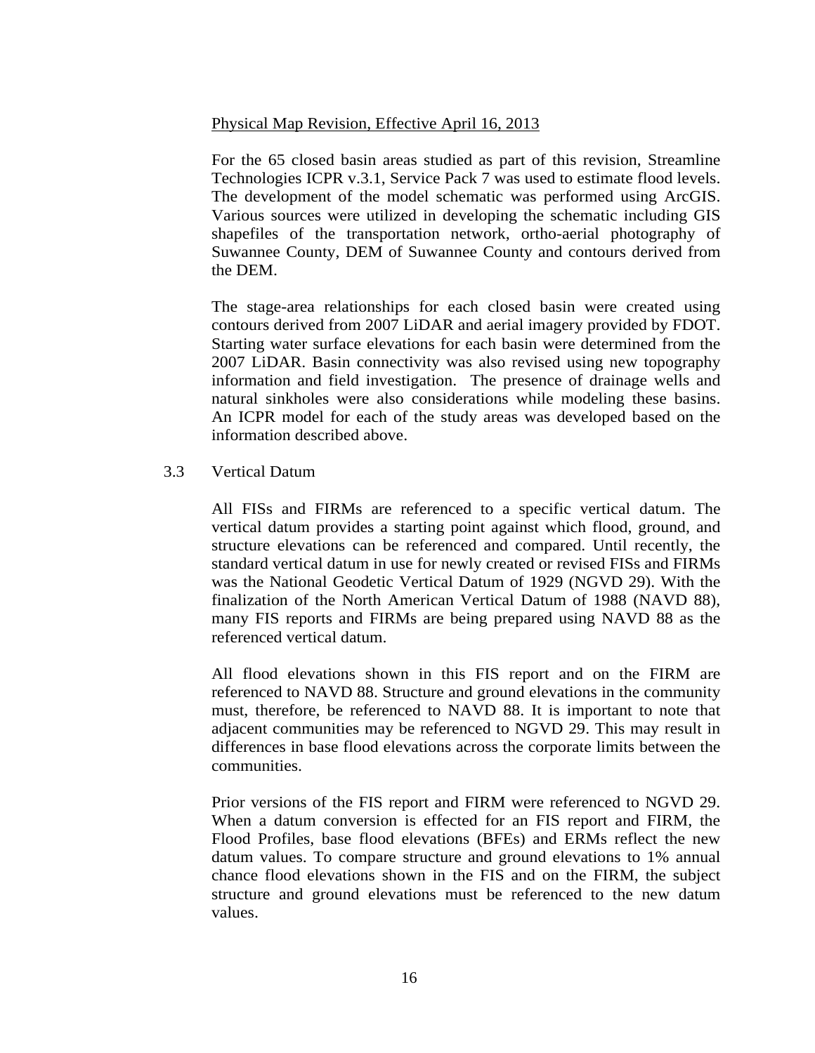#### Physical Map Revision, Effective April 16, 2013

For the 65 closed basin areas studied as part of this revision, Streamline Technologies ICPR v.3.1, Service Pack 7 was used to estimate flood levels. The development of the model schematic was performed using ArcGIS. Various sources were utilized in developing the schematic including GIS shapefiles of the transportation network, ortho-aerial photography of Suwannee County, DEM of Suwannee County and contours derived from the DEM.

The stage-area relationships for each closed basin were created using contours derived from 2007 LiDAR and aerial imagery provided by FDOT. Starting water surface elevations for each basin were determined from the 2007 LiDAR. Basin connectivity was also revised using new topography information and field investigation. The presence of drainage wells and natural sinkholes were also considerations while modeling these basins. An ICPR model for each of the study areas was developed based on the information described above.

#### 3.3 Vertical Datum

All FISs and FIRMs are referenced to a specific vertical datum. The vertical datum provides a starting point against which flood, ground, and structure elevations can be referenced and compared. Until recently, the standard vertical datum in use for newly created or revised FISs and FIRMs was the National Geodetic Vertical Datum of 1929 (NGVD 29). With the finalization of the North American Vertical Datum of 1988 (NAVD 88), many FIS reports and FIRMs are being prepared using NAVD 88 as the referenced vertical datum.

All flood elevations shown in this FIS report and on the FIRM are referenced to NAVD 88. Structure and ground elevations in the community must, therefore, be referenced to NAVD 88. It is important to note that adjacent communities may be referenced to NGVD 29. This may result in differences in base flood elevations across the corporate limits between the communities.

Prior versions of the FIS report and FIRM were referenced to NGVD 29. When a datum conversion is effected for an FIS report and FIRM, the Flood Profiles, base flood elevations (BFEs) and ERMs reflect the new datum values. To compare structure and ground elevations to 1% annual chance flood elevations shown in the FIS and on the FIRM, the subject structure and ground elevations must be referenced to the new datum values.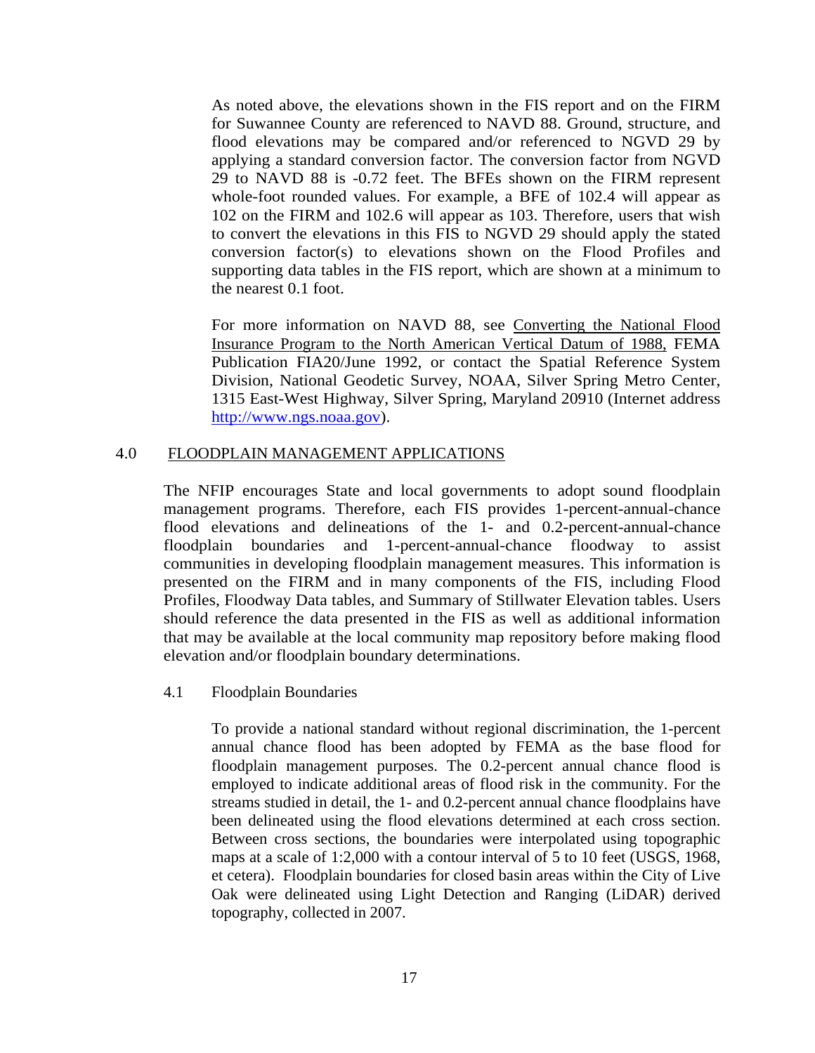As noted above, the elevations shown in the FIS report and on the FIRM for Suwannee County are referenced to NAVD 88. Ground, structure, and flood elevations may be compared and/or referenced to NGVD 29 by applying a standard conversion factor. The conversion factor from NGVD 29 to NAVD 88 is -0.72 feet. The BFEs shown on the FIRM represent whole-foot rounded values. For example, a BFE of 102.4 will appear as 102 on the FIRM and 102.6 will appear as 103. Therefore, users that wish to convert the elevations in this FIS to NGVD 29 should apply the stated conversion factor(s) to elevations shown on the Flood Profiles and supporting data tables in the FIS report, which are shown at a minimum to the nearest 0.1 foot.

For more information on NAVD 88, see Converting the National Flood Insurance Program to the North American Vertical Datum of 1988, FEMA Publication FIA20/June 1992, or contact the Spatial Reference System Division, National Geodetic Survey, NOAA, Silver Spring Metro Center, 1315 East-West Highway, Silver Spring, Maryland 20910 (Internet address http://www.ngs.noaa.gov).

#### 4.0 FLOODPLAIN MANAGEMENT APPLICATIONS

The NFIP encourages State and local governments to adopt sound floodplain management programs. Therefore, each FIS provides 1-percent-annual-chance flood elevations and delineations of the 1- and 0.2-percent-annual-chance floodplain boundaries and 1-percent-annual-chance floodway to assist communities in developing floodplain management measures. This information is presented on the FIRM and in many components of the FIS, including Flood Profiles, Floodway Data tables, and Summary of Stillwater Elevation tables. Users should reference the data presented in the FIS as well as additional information that may be available at the local community map repository before making flood elevation and/or floodplain boundary determinations.

4.1 Floodplain Boundaries

To provide a national standard without regional discrimination, the 1-percent annual chance flood has been adopted by FEMA as the base flood for floodplain management purposes. The 0.2-percent annual chance flood is employed to indicate additional areas of flood risk in the community. For the streams studied in detail, the 1- and 0.2-percent annual chance floodplains have been delineated using the flood elevations determined at each cross section. Between cross sections, the boundaries were interpolated using topographic maps at a scale of 1:2,000 with a contour interval of 5 to 10 feet (USGS, 1968, et cetera). Floodplain boundaries for closed basin areas within the City of Live Oak were delineated using Light Detection and Ranging (LiDAR) derived topography, collected in 2007.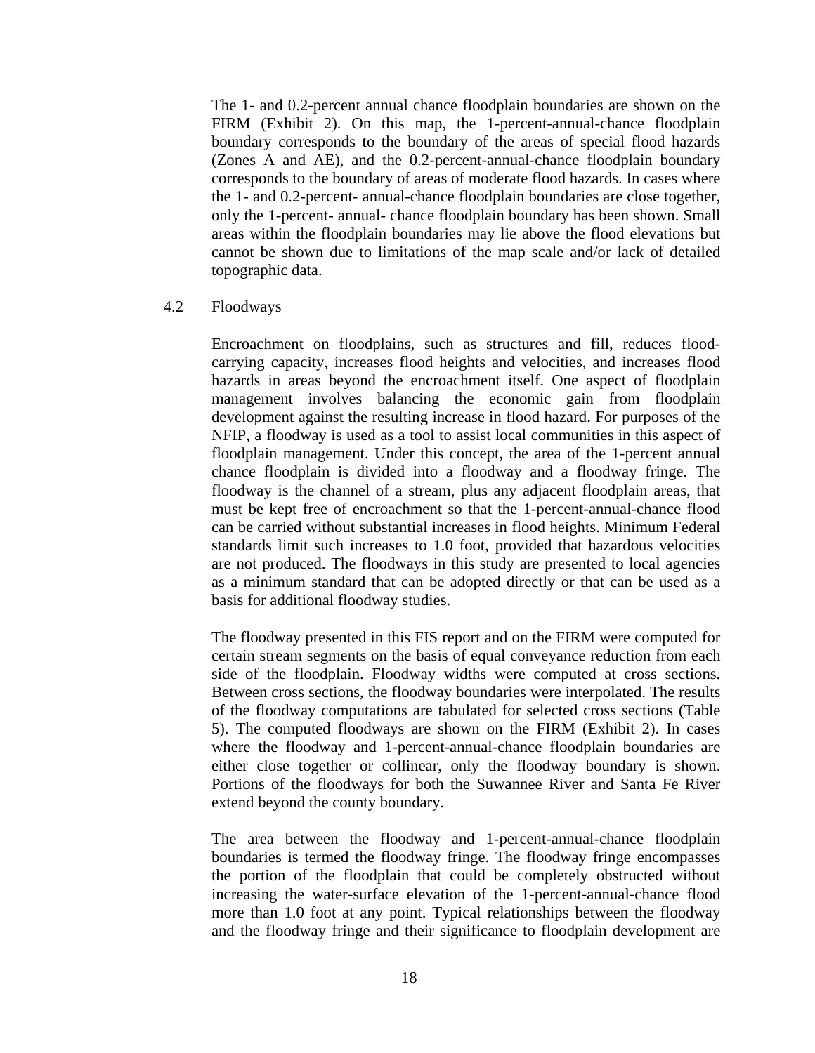The 1- and 0.2-percent annual chance floodplain boundaries are shown on the FIRM (Exhibit 2). On this map, the 1-percent-annual-chance floodplain boundary corresponds to the boundary of the areas of special flood hazards (Zones A and AE), and the 0.2-percent-annual-chance floodplain boundary corresponds to the boundary of areas of moderate flood hazards. In cases where the 1- and 0.2-percent- annual-chance floodplain boundaries are close together, only the 1-percent- annual- chance floodplain boundary has been shown. Small areas within the floodplain boundaries may lie above the flood elevations but cannot be shown due to limitations of the map scale and/or lack of detailed topographic data.

#### 4.2 Floodways

Encroachment on floodplains, such as structures and fill, reduces floodcarrying capacity, increases flood heights and velocities, and increases flood hazards in areas beyond the encroachment itself. One aspect of floodplain management involves balancing the economic gain from floodplain development against the resulting increase in flood hazard. For purposes of the NFIP, a floodway is used as a tool to assist local communities in this aspect of floodplain management. Under this concept, the area of the 1-percent annual chance floodplain is divided into a floodway and a floodway fringe. The floodway is the channel of a stream, plus any adjacent floodplain areas, that must be kept free of encroachment so that the 1-percent-annual-chance flood can be carried without substantial increases in flood heights. Minimum Federal standards limit such increases to 1.0 foot, provided that hazardous velocities are not produced. The floodways in this study are presented to local agencies as a minimum standard that can be adopted directly or that can be used as a basis for additional floodway studies.

The floodway presented in this FIS report and on the FIRM were computed for certain stream segments on the basis of equal conveyance reduction from each side of the floodplain. Floodway widths were computed at cross sections. Between cross sections, the floodway boundaries were interpolated. The results of the floodway computations are tabulated for selected cross sections (Table 5). The computed floodways are shown on the FIRM (Exhibit 2). In cases where the floodway and 1-percent-annual-chance floodplain boundaries are either close together or collinear, only the floodway boundary is shown. Portions of the floodways for both the Suwannee River and Santa Fe River extend beyond the county boundary.

The area between the floodway and 1-percent-annual-chance floodplain boundaries is termed the floodway fringe. The floodway fringe encompasses the portion of the floodplain that could be completely obstructed without increasing the water-surface elevation of the 1-percent-annual-chance flood more than 1.0 foot at any point. Typical relationships between the floodway and the floodway fringe and their significance to floodplain development are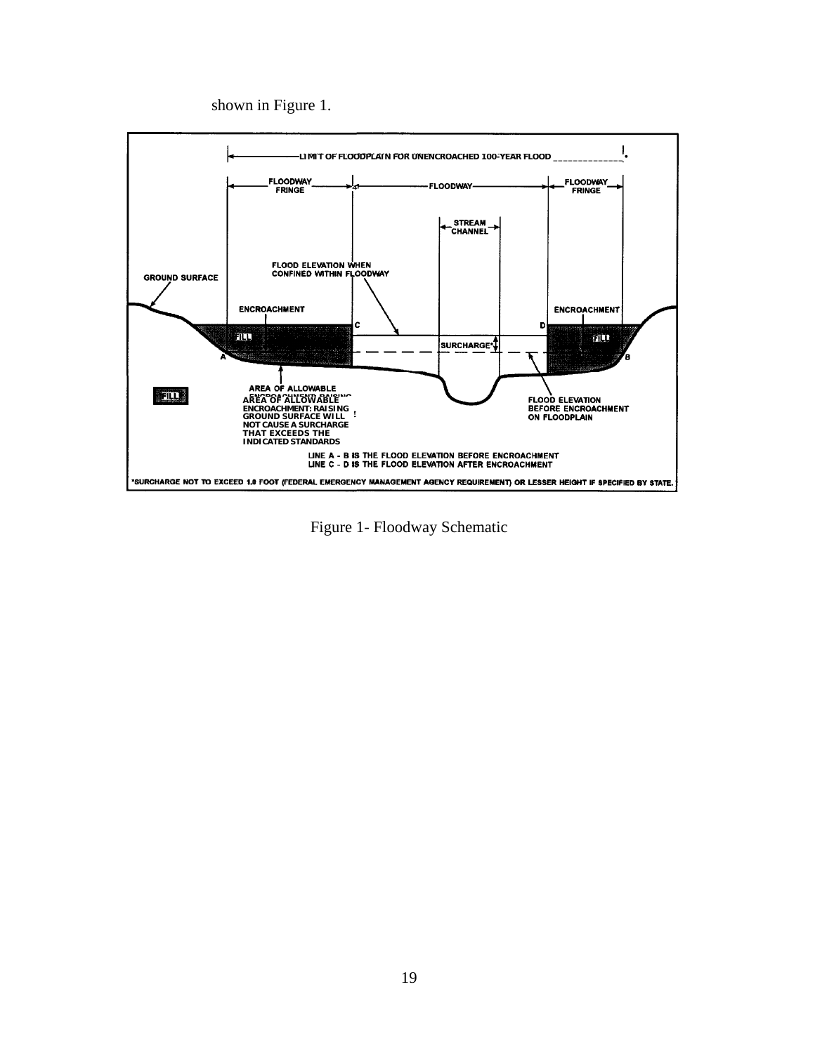shown in Figure 1.



Figure 1- Floodway Schematic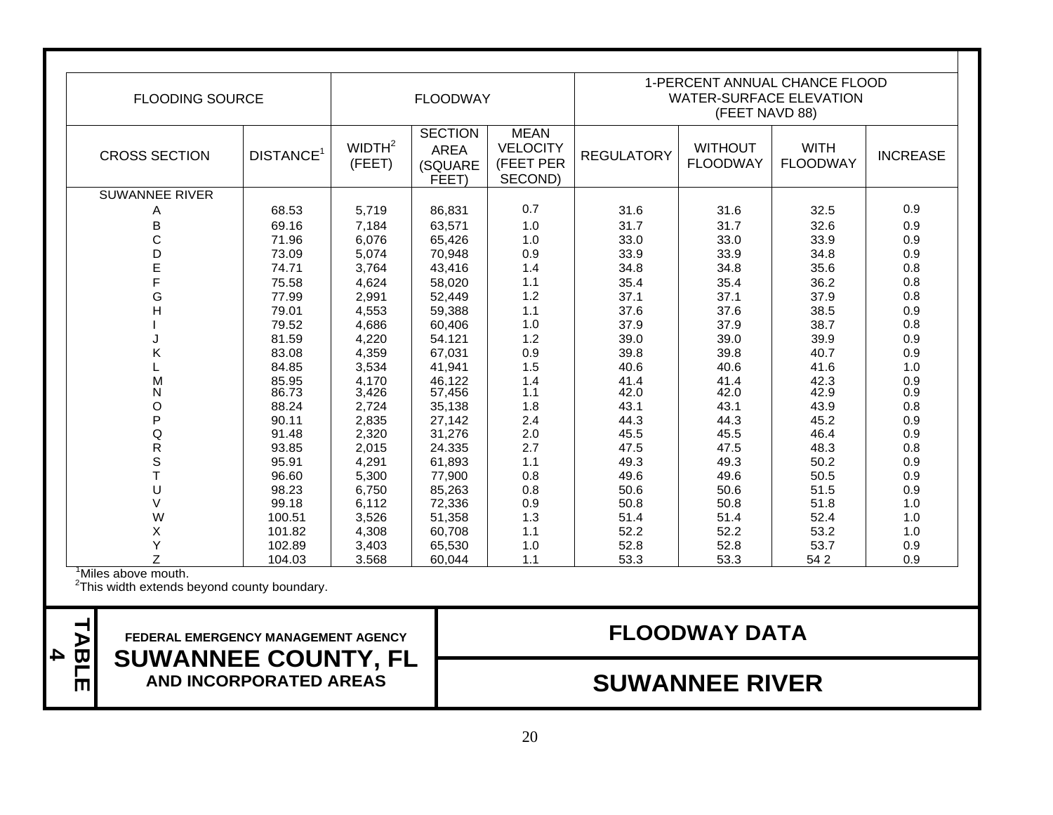| <b>FLOODING SOURCE</b> | <b>FLOODWAY</b>       |                              |                                                   | 1-PERCENT ANNUAL CHANCE FLOOD<br><b>WATER-SURFACE ELEVATION</b><br>(FEET NAVD 88) |                   |                                   |                                |                 |
|------------------------|-----------------------|------------------------------|---------------------------------------------------|-----------------------------------------------------------------------------------|-------------------|-----------------------------------|--------------------------------|-----------------|
| <b>CROSS SECTION</b>   | DISTANCE <sup>1</sup> | WIDTH <sup>2</sup><br>(FEET) | <b>SECTION</b><br><b>AREA</b><br>(SQUARE<br>FEET) | <b>MEAN</b><br><b>VELOCITY</b><br>(FEET PER<br>SECOND)                            | <b>REGULATORY</b> | <b>WITHOUT</b><br><b>FLOODWAY</b> | <b>WITH</b><br><b>FLOODWAY</b> | <b>INCREASE</b> |
| <b>SUWANNEE RIVER</b>  |                       |                              |                                                   |                                                                                   |                   |                                   |                                |                 |
| Α                      | 68.53                 | 5,719                        | 86,831                                            | 0.7                                                                               | 31.6              | 31.6                              | 32.5                           | 0.9             |
| B                      | 69.16                 | 7,184                        | 63,571                                            | 1.0                                                                               | 31.7              | 31.7                              | 32.6                           | 0.9             |
| $\mathsf{C}$           | 71.96                 | 6,076                        | 65,426                                            | 1.0                                                                               | 33.0              | 33.0                              | 33.9                           | 0.9             |
| D                      | 73.09                 | 5,074                        | 70,948                                            | 0.9                                                                               | 33.9              | 33.9                              | 34.8                           | 0.9             |
|                        | 74.71                 | 3,764                        | 43,416                                            | 1.4                                                                               | 34.8              | 34.8                              | 35.6                           | 0.8             |
| E<br>F                 | 75.58                 | 4,624                        | 58,020                                            | 1.1                                                                               | 35.4              | 35.4                              | 36.2                           | 0.8             |
| G                      | 77.99                 | 2,991                        | 52,449                                            | 1.2                                                                               | 37.1              | 37.1                              | 37.9                           | 0.8             |
| $\overline{H}$         | 79.01                 | 4,553                        | 59,388                                            | 1.1                                                                               | 37.6              | 37.6                              | 38.5                           | 0.9             |
|                        | 79.52                 | 4,686                        | 60,406                                            | 1.0                                                                               | 37.9              | 37.9                              | 38.7                           | 0.8             |
|                        | 81.59                 | 4,220                        | 54.121                                            | 1.2                                                                               | 39.0              | 39.0                              | 39.9                           | 0.9             |
| Κ                      | 83.08                 | 4,359                        | 67,031                                            | 0.9                                                                               | 39.8              | 39.8                              | 40.7                           | 0.9             |
|                        | 84.85                 | 3,534                        | 41,941                                            | 1.5                                                                               | 40.6              | 40.6                              | 41.6                           | 1.0             |
| M                      | 85.95                 | 4,170                        | 46,122                                            | 1.4                                                                               | 41.4              | 41.4                              | 42.3                           | 0.9             |
| N                      | 86.73                 | 3,426                        | 57,456                                            | 1.1                                                                               | 42.0              | 42.0                              | 42.9                           | 0.9             |
| O                      | 88.24                 | 2,724                        | 35,138                                            | 1.8                                                                               | 43.1              | 43.1                              | 43.9                           | 0.8             |
| P                      | 90.11                 | 2,835                        | 27,142                                            | 2.4                                                                               | 44.3              | 44.3                              | 45.2                           | 0.9             |
| Q                      | 91.48                 | 2,320                        | 31,276                                            | 2.0                                                                               | 45.5              | 45.5                              | 46.4                           | 0.9             |
| R                      | 93.85                 | 2,015                        | 24.335                                            | 2.7                                                                               | 47.5              | 47.5                              | 48.3                           | 0.8             |
| S                      | 95.91                 | 4,291                        | 61,893                                            | 1.1                                                                               | 49.3              | 49.3                              | 50.2                           | 0.9             |
| T                      | 96.60                 | 5,300                        | 77,900                                            | 0.8                                                                               | 49.6              | 49.6                              | 50.5                           | 0.9             |
| U                      | 98.23                 | 6,750                        | 85,263                                            | 0.8                                                                               | 50.6              | 50.6                              | 51.5                           | 0.9             |
| $\vee$                 | 99.18                 | 6,112                        | 72,336                                            | 0.9                                                                               | 50.8              | 50.8                              | 51.8                           | 1.0             |
| W                      | 100.51                | 3,526                        | 51,358                                            | 1.3                                                                               | 51.4              | 51.4                              | 52.4                           | $1.0$           |
| X                      | 101.82                | 4,308                        | 60,708                                            | 1.1                                                                               | 52.2              | 52.2                              | 53.2                           | $1.0$           |
| Υ                      | 102.89                | 3,403                        | 65,530                                            | 1.0                                                                               | 52.8              | 52.8                              | 53.7                           | 0.9             |
| Z.                     | 104.03                | 3.568                        | 60,044                                            | 1.1                                                                               | 53.3              | 53.3                              | 54 2                           | 0.9             |

<sup>1</sup>Miles above mouth.

 $2$ This width extends beyond county boundary.



**TABLE 44** FEDERAL EMERGENCY MANAGEMENT AGENCY<br> **ABBLIS SUWANNEE COUNTY, FL**<br>
AND INCORPORATED AREAS **SUWANNEE RIVER**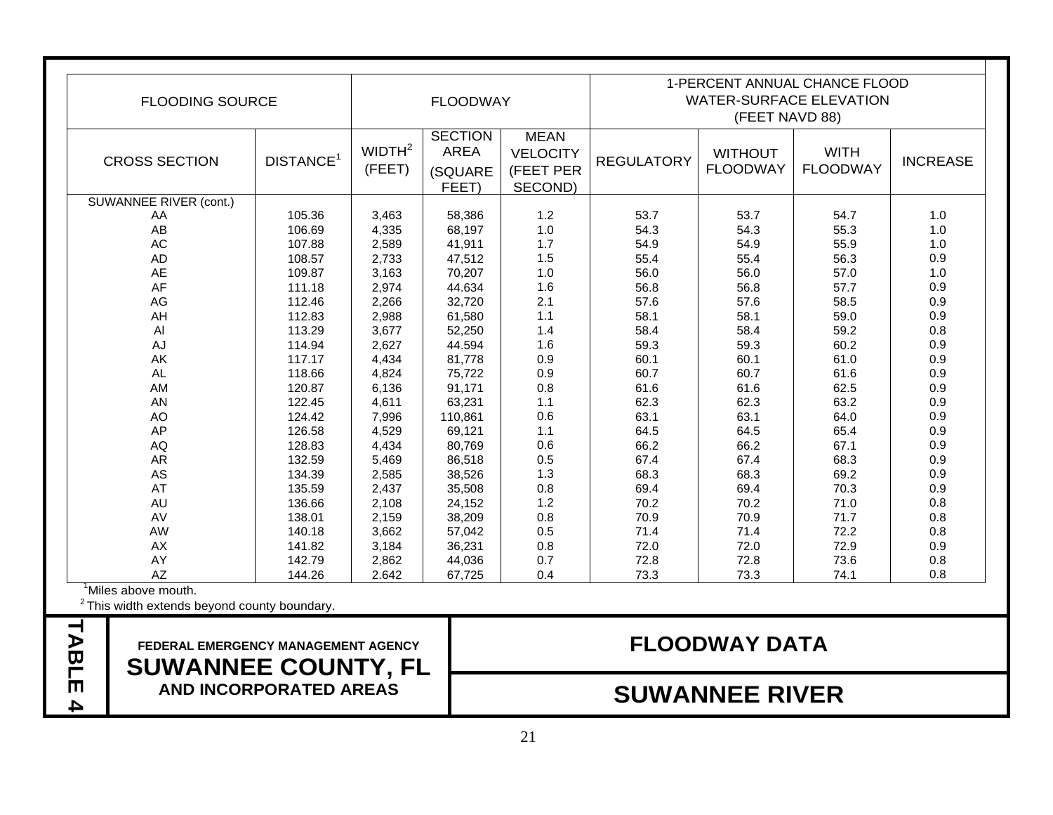| <b>FLOODING SOURCE</b> |                       | <b>FLOODWAY</b>              |                                                   |                                                        | 1-PERCENT ANNUAL CHANCE FLOOD<br><b>WATER-SURFACE ELEVATION</b><br>(FEET NAVD 88) |                                   |                                |                 |
|------------------------|-----------------------|------------------------------|---------------------------------------------------|--------------------------------------------------------|-----------------------------------------------------------------------------------|-----------------------------------|--------------------------------|-----------------|
| <b>CROSS SECTION</b>   | DISTANCE <sup>1</sup> | WIDTH <sup>2</sup><br>(FEET) | <b>SECTION</b><br><b>AREA</b><br>(SQUARE<br>FEET) | <b>MEAN</b><br><b>VELOCITY</b><br>(FEET PER<br>SECOND) | <b>REGULATORY</b>                                                                 | <b>WITHOUT</b><br><b>FLOODWAY</b> | <b>WITH</b><br><b>FLOODWAY</b> | <b>INCREASE</b> |
| SUWANNEE RIVER (cont.) |                       |                              |                                                   |                                                        |                                                                                   |                                   |                                |                 |
| AA                     | 105.36                | 3,463                        | 58,386                                            | 1.2                                                    | 53.7                                                                              | 53.7                              | 54.7                           | 1.0             |
| AB                     | 106.69                | 4,335                        | 68,197                                            | 1.0                                                    | 54.3                                                                              | 54.3                              | 55.3                           | 1.0             |
| AC                     | 107.88                | 2,589                        | 41,911                                            | 1.7                                                    | 54.9                                                                              | 54.9                              | 55.9                           | 1.0             |
| <b>AD</b>              | 108.57                | 2,733                        | 47,512                                            | 1.5                                                    | 55.4                                                                              | 55.4                              | 56.3                           | 0.9             |
| AE                     | 109.87                | 3,163                        | 70,207                                            | 1.0                                                    | 56.0                                                                              | 56.0                              | 57.0                           | 1.0             |
| AF                     | 111.18                | 2,974                        | 44.634                                            | 1.6                                                    | 56.8                                                                              | 56.8                              | 57.7                           | 0.9             |
| AG                     | 112.46                | 2,266                        | 32,720                                            | 2.1                                                    | 57.6                                                                              | 57.6                              | 58.5                           | $0.9\,$         |
| AH                     | 112.83                | 2,988                        | 61,580                                            | 1.1                                                    | 58.1                                                                              | 58.1                              | 59.0                           | 0.9             |
| Al                     | 113.29                | 3,677                        | 52,250                                            | 1.4                                                    | 58.4                                                                              | 58.4                              | 59.2                           | 0.8             |
| AJ                     | 114.94                | 2,627                        | 44.594                                            | 1.6                                                    | 59.3                                                                              | 59.3                              | 60.2                           | $0.9\,$         |
| AK                     | 117.17                | 4,434                        | 81,778                                            | 0.9                                                    | 60.1                                                                              | 60.1                              | 61.0                           | $0.9\,$         |
| <b>AL</b>              | 118.66                | 4,824                        | 75,722                                            | 0.9                                                    | 60.7                                                                              | 60.7                              | 61.6                           | 0.9             |
| AM                     | 120.87                | 6,136                        | 91,171                                            | 0.8                                                    | 61.6                                                                              | 61.6                              | 62.5                           | $0.9\,$         |
| <b>AN</b>              | 122.45                | 4,611                        | 63,231                                            | $1.1$                                                  | 62.3                                                                              | 62.3                              | 63.2                           | $0.9\,$         |
| AO                     | 124.42                | 7,996                        | 110,861                                           | 0.6                                                    | 63.1                                                                              | 63.1                              | 64.0                           | $0.9\,$         |
| AP                     | 126.58                | 4,529                        | 69,121                                            | $1.1$                                                  | 64.5                                                                              | 64.5                              | 65.4                           | $0.9\,$         |
| <b>AQ</b>              | 128.83                | 4,434                        | 80,769                                            | 0.6                                                    | 66.2                                                                              | 66.2                              | 67.1                           | $0.9\,$         |
| <b>AR</b>              | 132.59                | 5,469                        | 86,518                                            | 0.5                                                    | 67.4                                                                              | 67.4                              | 68.3                           | $0.9\,$         |
| AS                     | 134.39                | 2,585                        | 38,526                                            | 1.3                                                    | 68.3                                                                              | 68.3                              | 69.2                           | 0.9             |
| AT                     | 135.59                | 2,437                        | 35,508                                            | 0.8                                                    | 69.4                                                                              | 69.4                              | 70.3                           | 0.9             |
| <b>AU</b>              | 136.66                | 2,108                        | 24,152                                            | 1.2                                                    | 70.2                                                                              | 70.2                              | 71.0                           | 0.8             |
| AV                     | 138.01                | 2,159                        | 38,209                                            | 0.8                                                    | 70.9                                                                              | 70.9                              | 71.7                           | 0.8             |
| AW                     | 140.18                | 3,662                        | 57,042                                            | 0.5                                                    | 71.4                                                                              | 71.4                              | 72.2                           | 0.8             |
| AX                     | 141.82                | 3,184                        | 36,231                                            | 0.8                                                    | 72.0                                                                              | 72.0                              | 72.9                           | 0.9             |
| AY                     | 142.79                | 2,862                        | 44,036                                            | 0.7                                                    | 72.8                                                                              | 72.8                              | 73.6                           | 0.8             |
| AZ                     | 144.26                | 2.642                        | 67,725                                            | 0.4                                                    | 73.3                                                                              | 73.3                              | 74.1                           | 0.8             |

## TREAL EMERGENCY MANAGEMENT AGENCY<br> **TABLE 4** SUWANNEE COUNTY, FL<br>
AND INCORPORATED AREAS<br>
AND INCORPORATED AREAS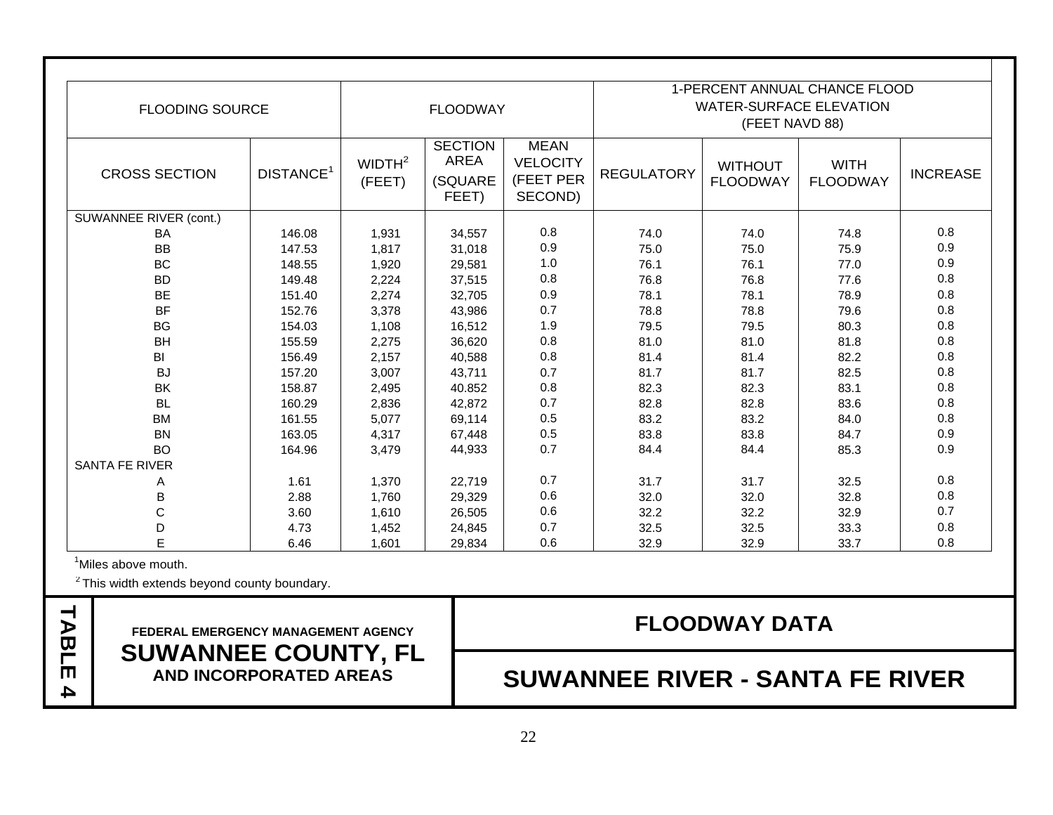| <b>FLOODING SOURCE</b> |                       | <b>FLOODWAY</b>              |                                            |                                                        | 1-PERCENT ANNUAL CHANCE FLOOD<br><b>WATER-SURFACE ELEVATION</b><br>(FEET NAVD 88) |                                   |                                |                 |
|------------------------|-----------------------|------------------------------|--------------------------------------------|--------------------------------------------------------|-----------------------------------------------------------------------------------|-----------------------------------|--------------------------------|-----------------|
| <b>CROSS SECTION</b>   | DISTANCE <sup>1</sup> | WIDTH <sup>2</sup><br>(FEET) | <b>SECTION</b><br>AREA<br>(SQUARE<br>FEET) | <b>MEAN</b><br><b>VELOCITY</b><br>(FEET PER<br>SECOND) | <b>REGULATORY</b>                                                                 | <b>WITHOUT</b><br><b>FLOODWAY</b> | <b>WITH</b><br><b>FLOODWAY</b> | <b>INCREASE</b> |
| SUWANNEE RIVER (cont.) |                       |                              |                                            |                                                        |                                                                                   |                                   |                                |                 |
| BA                     | 146.08                | 1,931                        | 34,557                                     | 0.8                                                    | 74.0                                                                              | 74.0                              | 74.8                           | 0.8             |
| <b>BB</b>              | 147.53                | 1,817                        | 31,018                                     | 0.9                                                    | 75.0                                                                              | 75.0                              | 75.9                           | 0.9             |
| <b>BC</b>              | 148.55                | 1,920                        | 29,581                                     | 1.0                                                    | 76.1                                                                              | 76.1                              | 77.0                           | 0.9             |
| <b>BD</b>              | 149.48                | 2,224                        | 37,515                                     | 0.8                                                    | 76.8                                                                              | 76.8                              | 77.6                           | 0.8             |
| <b>BE</b>              | 151.40                | 2,274                        | 32,705                                     | 0.9                                                    | 78.1                                                                              | 78.1                              | 78.9                           | 0.8             |
| <b>BF</b>              | 152.76                | 3,378                        | 43,986                                     | 0.7                                                    | 78.8                                                                              | 78.8                              | 79.6                           | 0.8             |
| <b>BG</b>              | 154.03                | 1,108                        | 16,512                                     | 1.9                                                    | 79.5                                                                              | 79.5                              | 80.3                           | 0.8             |
| <b>BH</b>              | 155.59                | 2,275                        | 36,620                                     | 0.8                                                    | 81.0                                                                              | 81.0                              | 81.8                           | 0.8             |
| BI                     | 156.49                | 2,157                        | 40,588                                     | 0.8                                                    | 81.4                                                                              | 81.4                              | 82.2                           | 0.8             |
| <b>BJ</b>              | 157.20                | 3,007                        | 43,711                                     | 0.7                                                    | 81.7                                                                              | 81.7                              | 82.5                           | 0.8             |
| BK                     | 158.87                | 2,495                        | 40.852                                     | 0.8                                                    | 82.3                                                                              | 82.3                              | 83.1                           | 0.8             |
| <b>BL</b>              | 160.29                | 2,836                        | 42,872                                     | 0.7                                                    | 82.8                                                                              | 82.8                              | 83.6                           | 0.8             |
| <b>BM</b>              | 161.55                | 5,077                        | 69,114                                     | 0.5                                                    | 83.2                                                                              | 83.2                              | 84.0                           | 0.8             |
| <b>BN</b>              | 163.05                | 4,317                        | 67,448                                     | 0.5                                                    | 83.8                                                                              | 83.8                              | 84.7                           | 0.9             |
| <b>BO</b>              | 164.96                | 3,479                        | 44,933                                     | 0.7                                                    | 84.4                                                                              | 84.4                              | 85.3                           | 0.9             |
| <b>SANTA FE RIVER</b>  |                       |                              |                                            |                                                        |                                                                                   |                                   |                                |                 |
| A                      | 1.61                  | 1,370                        | 22,719                                     | 0.7                                                    | 31.7                                                                              | 31.7                              | 32.5                           | 0.8             |
| В                      | 2.88                  | 1,760                        | 29,329                                     | 0.6                                                    | 32.0                                                                              | 32.0                              | 32.8                           | 0.8             |
| C                      | 3.60                  | 1,610                        | 26,505                                     | 0.6                                                    | 32.2                                                                              | 32.2                              | 32.9                           | 0.7             |
| D                      | 4.73                  | 1,452                        | 24,845                                     | 0.7                                                    | 32.5                                                                              | 32.5                              | 33.3                           | $0.8\,$         |
| E                      | 6.46                  | 1,601                        | 29,834                                     | 0.6                                                    | 32.9                                                                              | 32.9                              | 33.7                           | 0.8             |

<sup>1</sup>Miles above mouth.

 $2$  This width extends beyond county boundary.

# TABLE FEDERAL EMERGENCY MANAGEMENT AGENCY<br> **PABLIC SUWANNEE COUNTY, FL<br>
AND INCORPORATED AREAS <b>SUWANNEE RIVER - SANTA FE RIVER**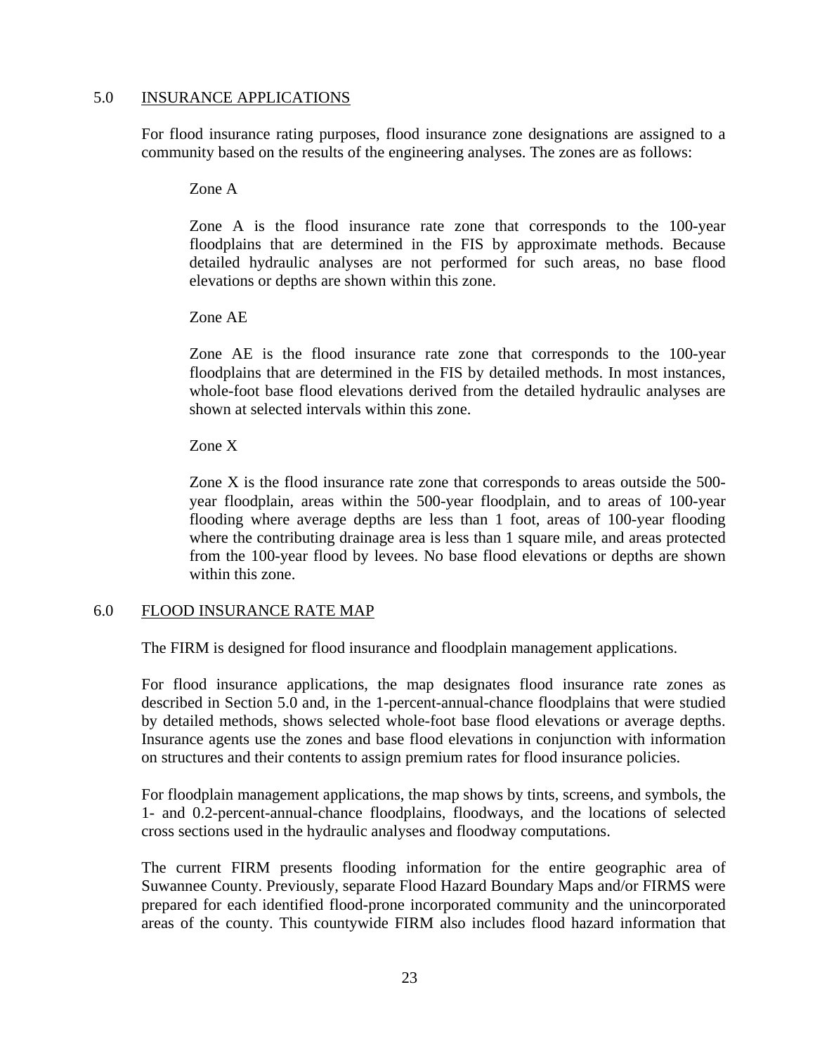#### 5.0 INSURANCE APPLICATIONS

For flood insurance rating purposes, flood insurance zone designations are assigned to a community based on the results of the engineering analyses. The zones are as follows:

Zone A

Zone A is the flood insurance rate zone that corresponds to the 100-year floodplains that are determined in the FIS by approximate methods. Because detailed hydraulic analyses are not performed for such areas, no base flood elevations or depths are shown within this zone.

Zone AE

Zone AE is the flood insurance rate zone that corresponds to the 100-year floodplains that are determined in the FIS by detailed methods. In most instances, whole-foot base flood elevations derived from the detailed hydraulic analyses are shown at selected intervals within this zone.

Zone X

Zone X is the flood insurance rate zone that corresponds to areas outside the 500 year floodplain, areas within the 500-year floodplain, and to areas of 100-year flooding where average depths are less than 1 foot, areas of 100-year flooding where the contributing drainage area is less than 1 square mile, and areas protected from the 100-year flood by levees. No base flood elevations or depths are shown within this zone.

#### 6.0 FLOOD INSURANCE RATE MAP

The FIRM is designed for flood insurance and floodplain management applications.

For flood insurance applications, the map designates flood insurance rate zones as described in Section 5.0 and, in the 1-percent-annual-chance floodplains that were studied by detailed methods, shows selected whole-foot base flood elevations or average depths. Insurance agents use the zones and base flood elevations in conjunction with information on structures and their contents to assign premium rates for flood insurance policies.

For floodplain management applications, the map shows by tints, screens, and symbols, the 1- and 0.2-percent-annual-chance floodplains, floodways, and the locations of selected cross sections used in the hydraulic analyses and floodway computations.

The current FIRM presents flooding information for the entire geographic area of Suwannee County. Previously, separate Flood Hazard Boundary Maps and/or FIRMS were prepared for each identified flood-prone incorporated community and the unincorporated areas of the county. This countywide FIRM also includes flood hazard information that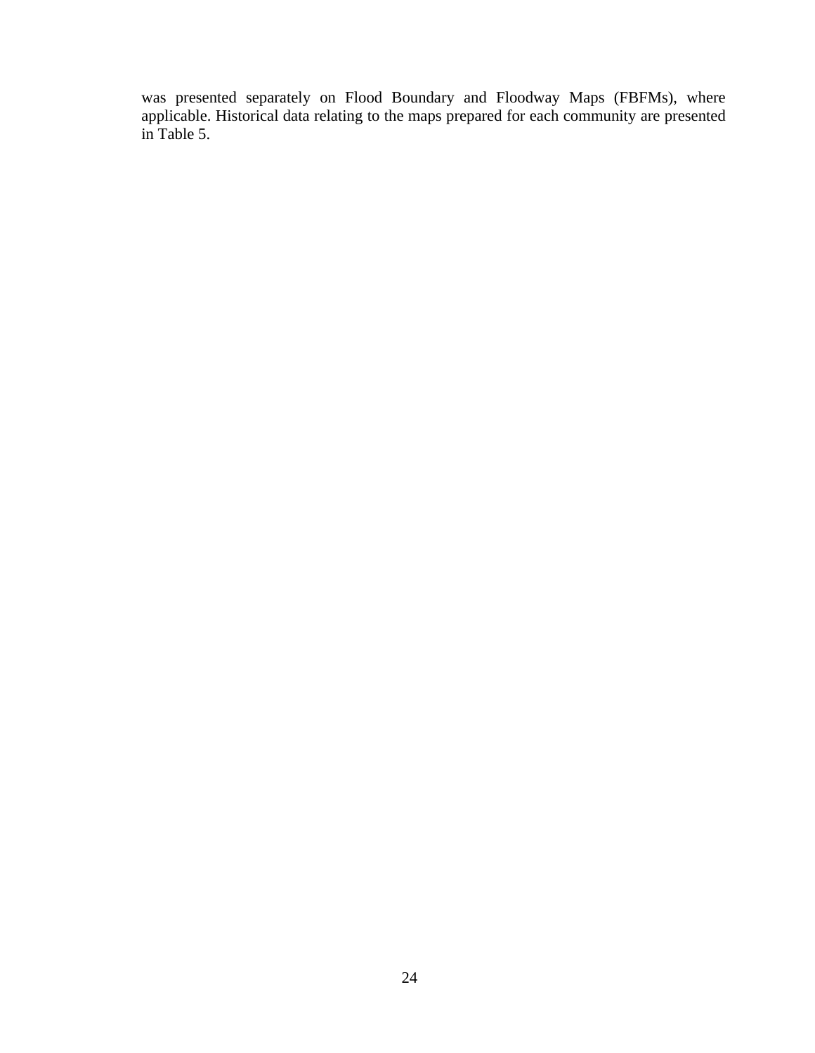was presented separately on Flood Boundary and Floodway Maps (FBFMs), where applicable. Historical data relating to the maps prepared for each community are presented in Table 5.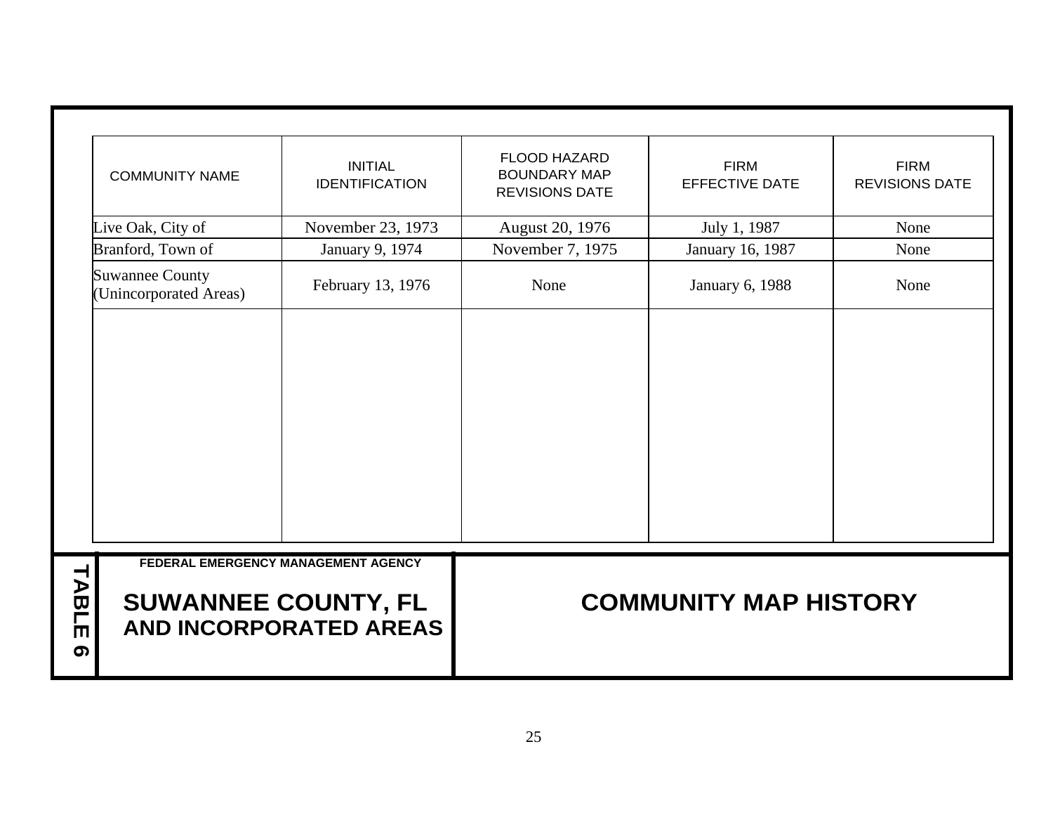|                                | <b>COMMUNITY NAME</b>                            | <b>INITIAL</b><br><b>IDENTIFICATION</b> | <b>FLOOD HAZARD</b><br><b>BOUNDARY MAP</b><br><b>REVISIONS DATE</b> | <b>FIRM</b><br><b>EFFECTIVE DATE</b> | <b>FIRM</b><br><b>REVISIONS DATE</b> |  |  |  |
|--------------------------------|--------------------------------------------------|-----------------------------------------|---------------------------------------------------------------------|--------------------------------------|--------------------------------------|--|--|--|
|                                | Live Oak, City of                                | November 23, 1973                       | August 20, 1976                                                     | July 1, 1987                         | None                                 |  |  |  |
|                                | Branford, Town of                                | January 9, 1974                         | November 7, 1975                                                    | January 16, 1987                     | None                                 |  |  |  |
|                                | <b>Suwannee County</b><br>(Unincorporated Areas) | February 13, 1976                       | None                                                                | <b>January 6, 1988</b>               | None                                 |  |  |  |
|                                |                                                  | FEDERAL EMERGENCY MANAGEMENT AGENCY     |                                                                     |                                      |                                      |  |  |  |
| TABLE<br>$\boldsymbol{\sigma}$ | <b>SUWANNEE COUNTY, FL</b>                       | AND INCORPORATED AREAS                  | <b>COMMUNITY MAP HISTORY</b>                                        |                                      |                                      |  |  |  |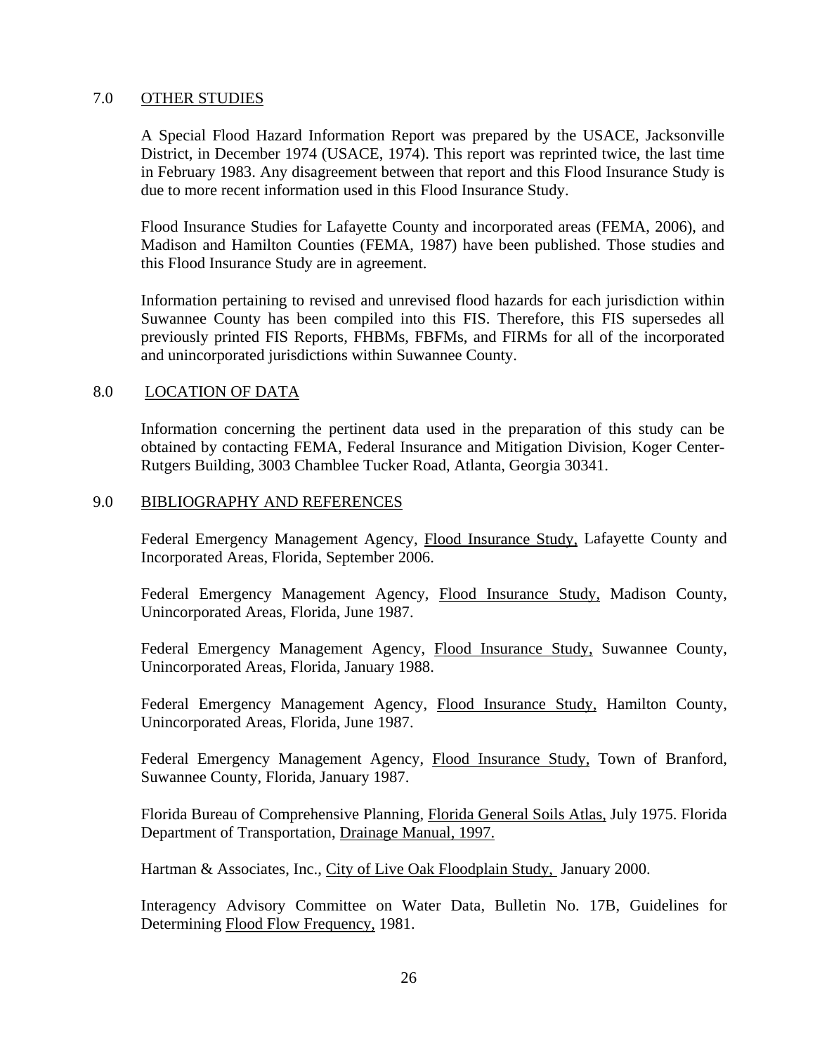#### 7.0 OTHER STUDIES

A Special Flood Hazard Information Report was prepared by the USACE, Jacksonville District, in December 1974 (USACE, 1974). This report was reprinted twice, the last time in February 1983. Any disagreement between that report and this Flood Insurance Study is due to more recent information used in this Flood Insurance Study.

Flood Insurance Studies for Lafayette County and incorporated areas (FEMA, 2006), and Madison and Hamilton Counties (FEMA, 1987) have been published. Those studies and this Flood Insurance Study are in agreement.

Information pertaining to revised and unrevised flood hazards for each jurisdiction within Suwannee County has been compiled into this FIS. Therefore, this FIS supersedes all previously printed FIS Reports, FHBMs, FBFMs, and FIRMs for all of the incorporated and unincorporated jurisdictions within Suwannee County.

#### 8.0 LOCATION OF DATA

Information concerning the pertinent data used in the preparation of this study can be obtained by contacting FEMA, Federal Insurance and Mitigation Division, Koger Center-Rutgers Building, 3003 Chamblee Tucker Road, Atlanta, Georgia 30341.

#### 9.0 BIBLIOGRAPHY AND REFERENCES

Federal Emergency Management Agency, Flood Insurance Study, Lafayette County and Incorporated Areas, Florida, September 2006.

Federal Emergency Management Agency, Flood Insurance Study, Madison County, Unincorporated Areas, Florida, June 1987.

Federal Emergency Management Agency, Flood Insurance Study, Suwannee County, Unincorporated Areas, Florida, January 1988.

Federal Emergency Management Agency, Flood Insurance Study, Hamilton County, Unincorporated Areas, Florida, June 1987.

Federal Emergency Management Agency, Flood Insurance Study, Town of Branford, Suwannee County, Florida, January 1987.

Florida Bureau of Comprehensive Planning, Florida General Soils Atlas, July 1975. Florida Department of Transportation, Drainage Manual, 1997.

Hartman & Associates, Inc., City of Live Oak Floodplain Study, January 2000.

Interagency Advisory Committee on Water Data, Bulletin No. 17B, Guidelines for Determining Flood Flow Frequency, 1981.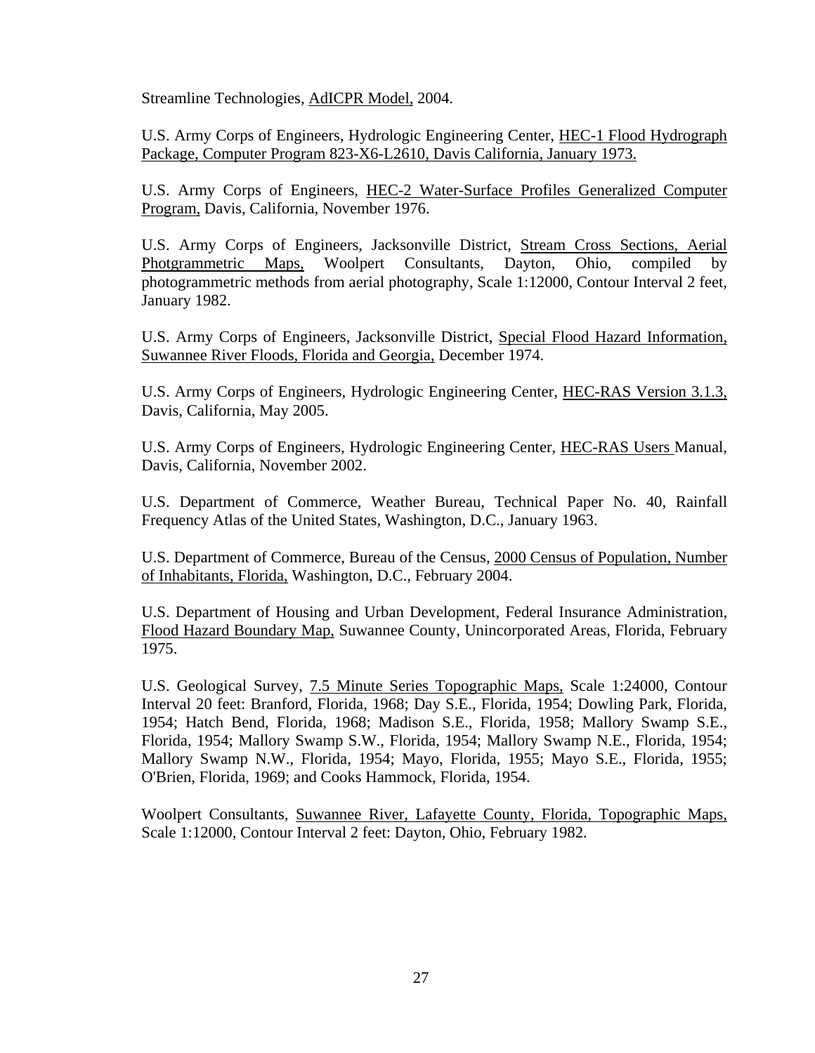Streamline Technologies, AdICPR Model, 2004.

U.S. Army Corps of Engineers, Hydrologic Engineering Center, HEC-1 Flood Hydrograph Package, Computer Program 823-X6-L2610, Davis California, January 1973.

U.S. Army Corps of Engineers, HEC-2 Water-Surface Profiles Generalized Computer Program, Davis, California, November 1976.

U.S. Army Corps of Engineers, Jacksonville District, Stream Cross Sections, Aerial Photgrammetric Maps, Woolpert Consultants, Dayton, Ohio, compiled by photogrammetric methods from aerial photography, Scale 1:12000, Contour Interval 2 feet, January 1982.

U.S. Army Corps of Engineers, Jacksonville District, Special Flood Hazard Information, Suwannee River Floods, Florida and Georgia, December 1974.

U.S. Army Corps of Engineers, Hydrologic Engineering Center, HEC-RAS Version 3.1.3, Davis, California, May 2005.

U.S. Army Corps of Engineers, Hydrologic Engineering Center, HEC-RAS Users Manual, Davis, California, November 2002.

U.S. Department of Commerce, Weather Bureau, Technical Paper No. 40, Rainfall Frequency Atlas of the United States, Washington, D.C., January 1963.

U.S. Department of Commerce, Bureau of the Census, 2000 Census of Population, Number of Inhabitants, Florida, Washington, D.C., February 2004.

U.S. Department of Housing and Urban Development, Federal Insurance Administration, Flood Hazard Boundary Map, Suwannee County, Unincorporated Areas, Florida, February 1975.

U.S. Geological Survey, 7.5 Minute Series Topographic Maps, Scale 1:24000, Contour Interval 20 feet: Branford, Florida, 1968; Day S.E., Florida, 1954; Dowling Park, Florida, 1954; Hatch Bend, Florida, 1968; Madison S.E., Florida, 1958; Mallory Swamp S.E., Florida, 1954; Mallory Swamp S.W., Florida, 1954; Mallory Swamp N.E., Florida, 1954; Mallory Swamp N.W., Florida, 1954; Mayo, Florida, 1955; Mayo S.E., Florida, 1955; O'Brien, Florida, 1969; and Cooks Hammock, Florida, 1954.

Woolpert Consultants, Suwannee River, Lafayette County, Florida, Topographic Maps, Scale 1:12000, Contour Interval 2 feet: Dayton, Ohio, February 1982.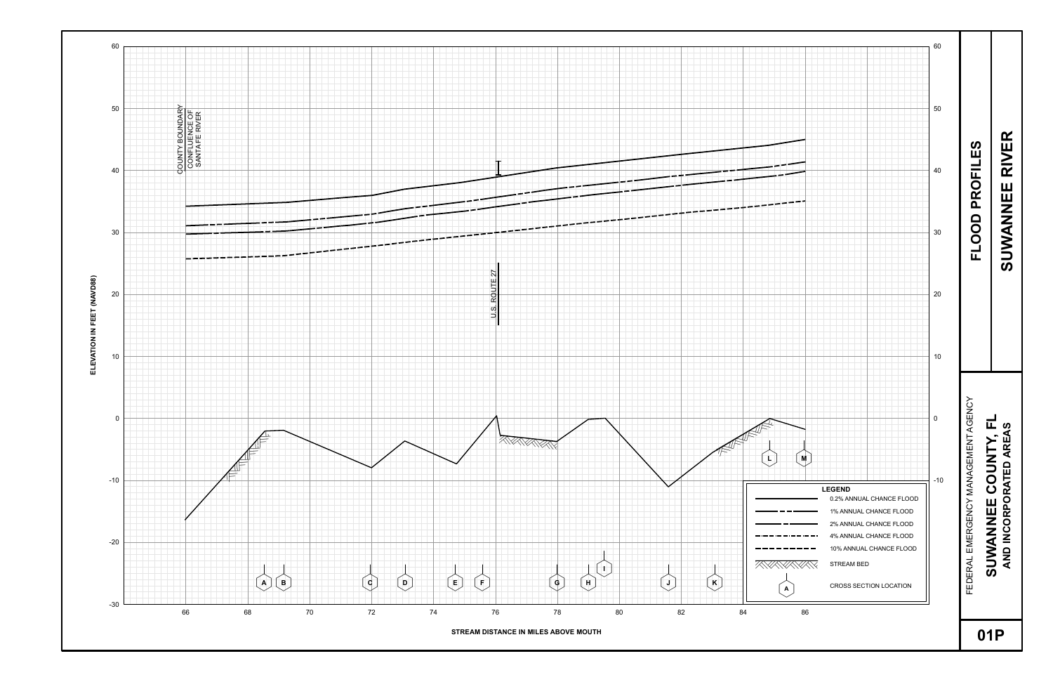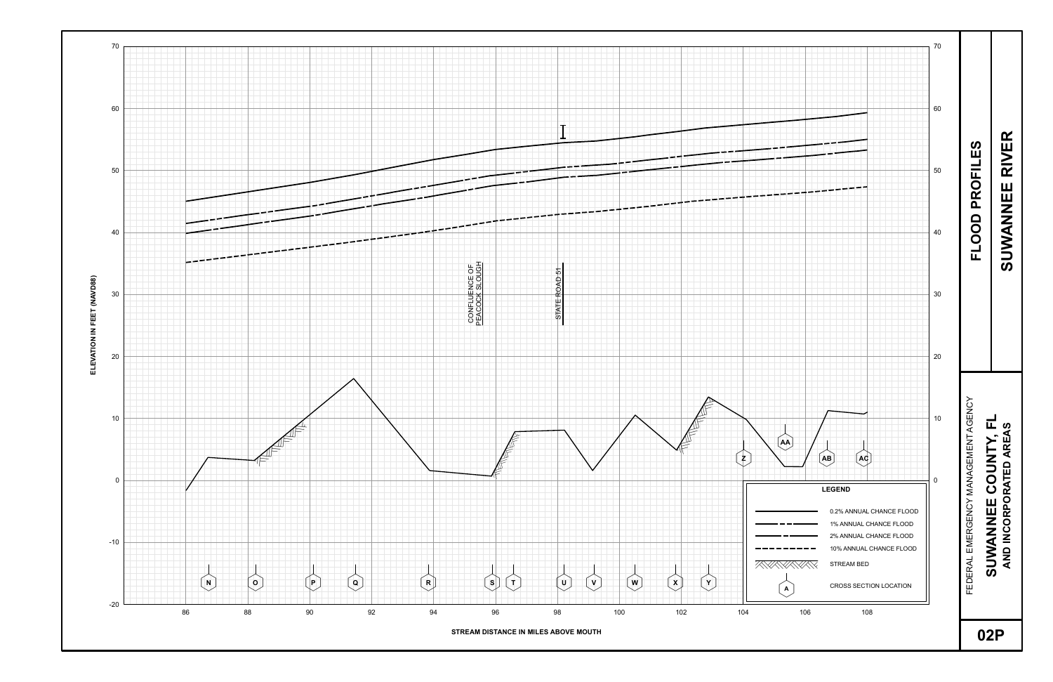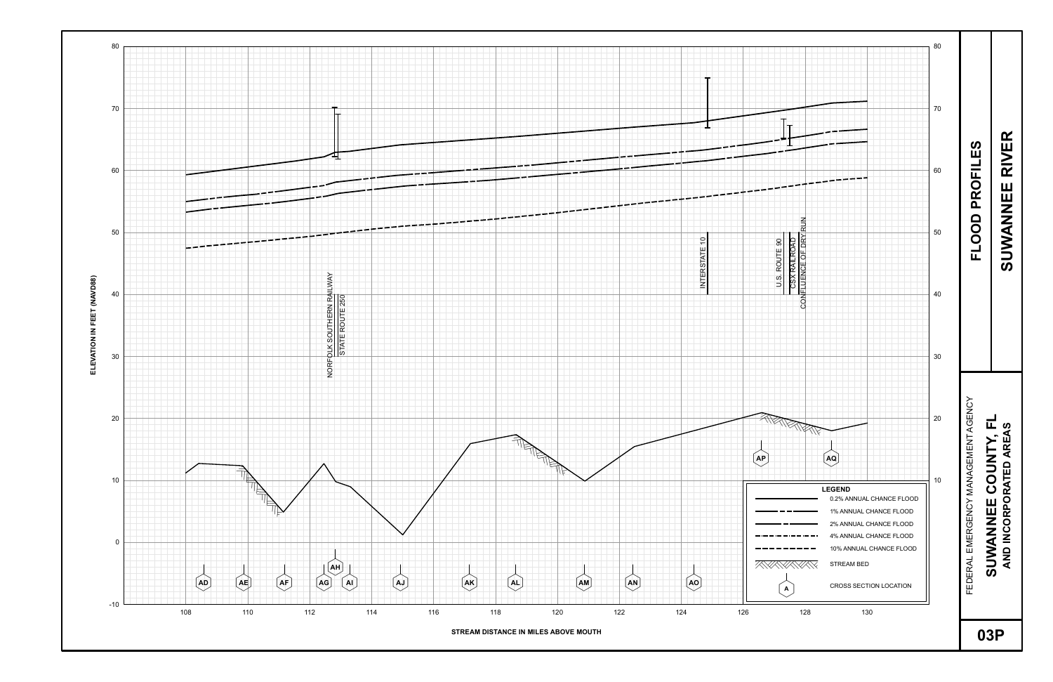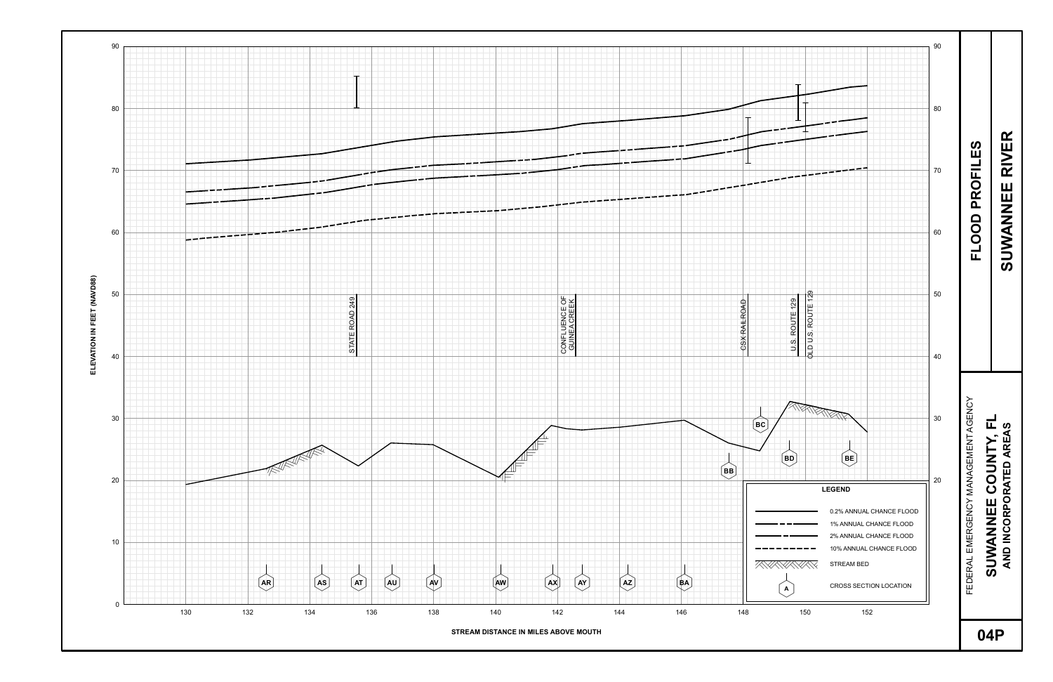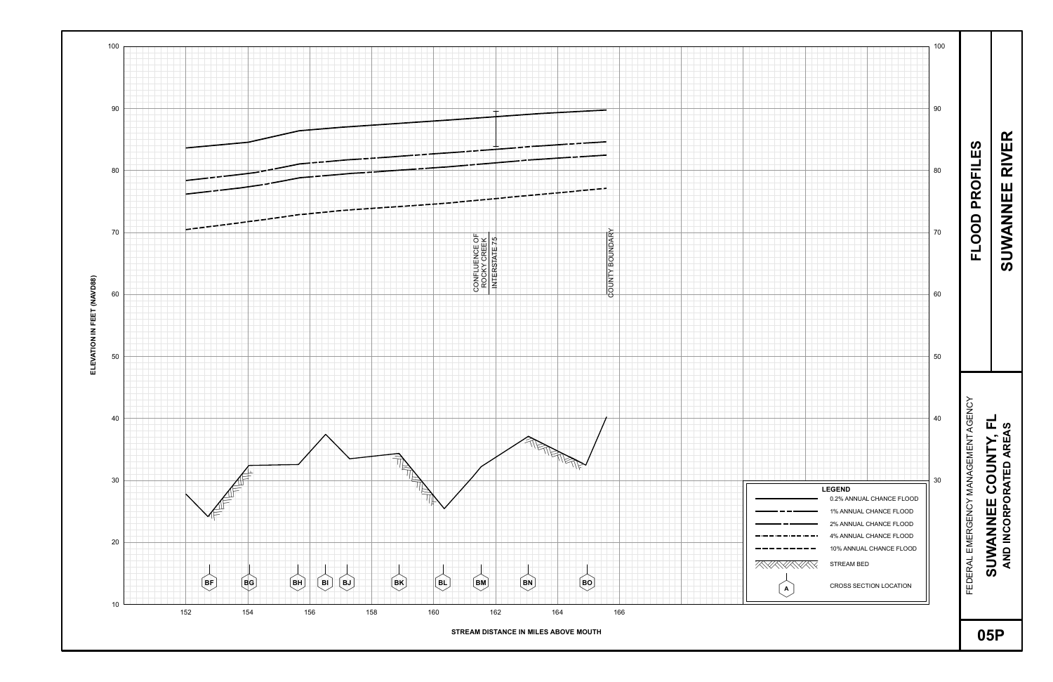